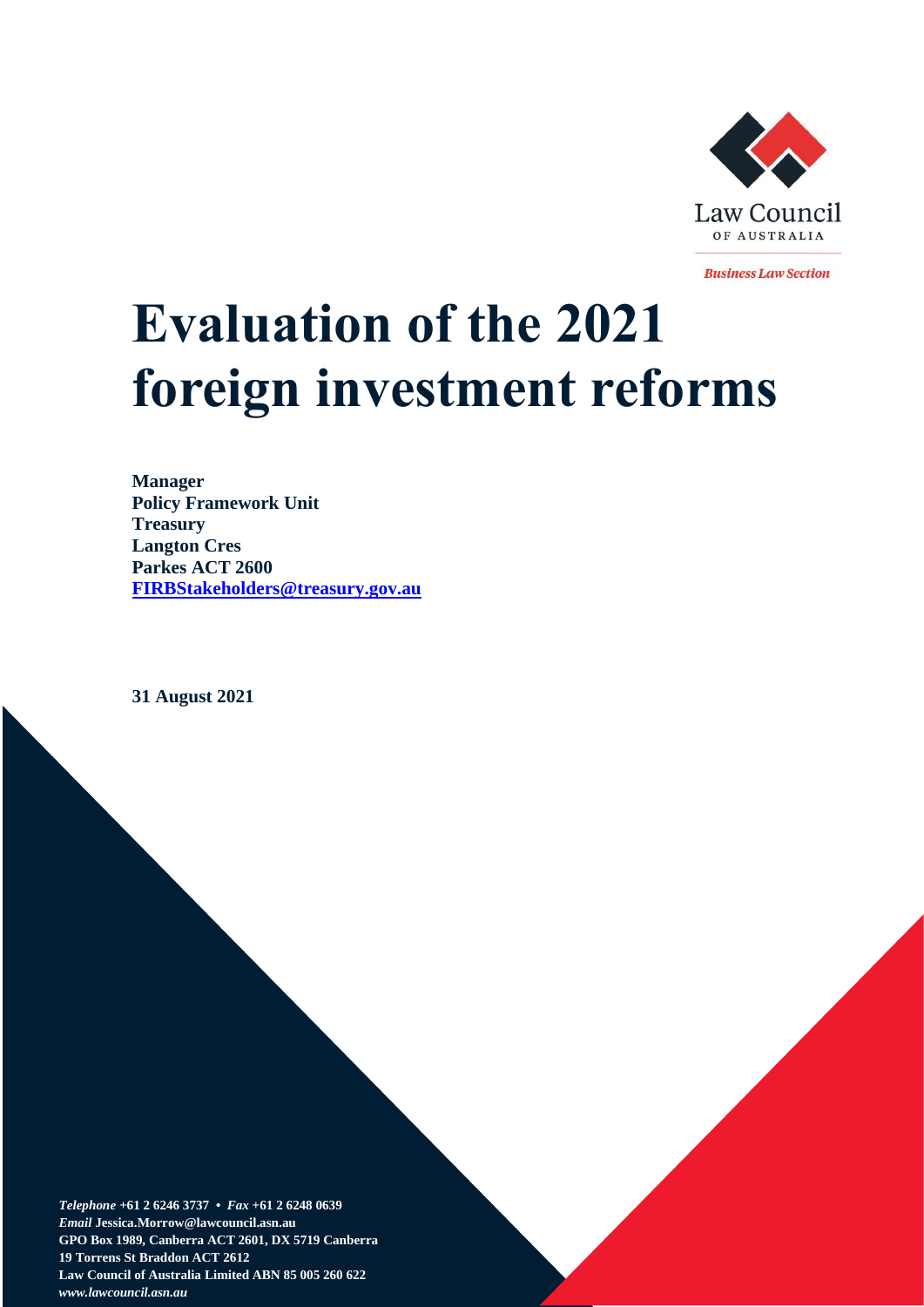

**Business Law Section** 

# **Evaluation of the 2021 foreign investment reforms**

**Manager Policy Framework Unit Treasury Langton Cres Parkes ACT 2600 [FIRBStakeholders@treasury.gov.au](mailto:FIRBStakeholders@treasury.gov.au)**

**31 August 2021**

*Telephone* **+61 2 6246 3737 •** *Fax* **+61 2 6248 0639**  *Email* **Jessica.Morrow@lawcouncil.asn.au GPO Box 1989, Canberra ACT 2601, DX 5719 Canberra 19 Torrens St Braddon ACT 2612 Law Council of Australia Limited ABN 85 005 260 622** *www.lawcouncil.asn.au*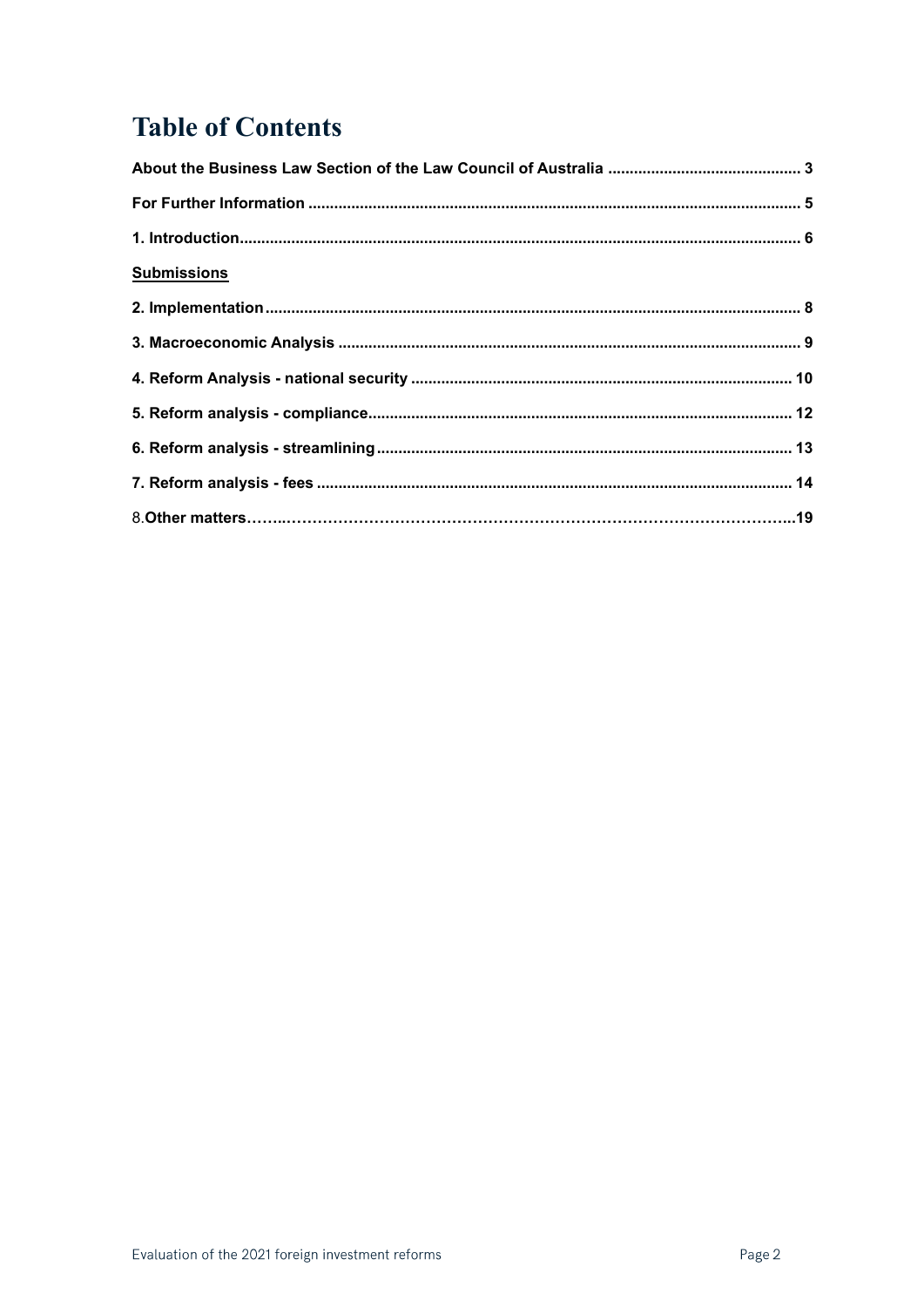# **Table of Contents**

| <b>Submissions</b> |  |
|--------------------|--|
|                    |  |
|                    |  |
|                    |  |
|                    |  |
|                    |  |
|                    |  |
|                    |  |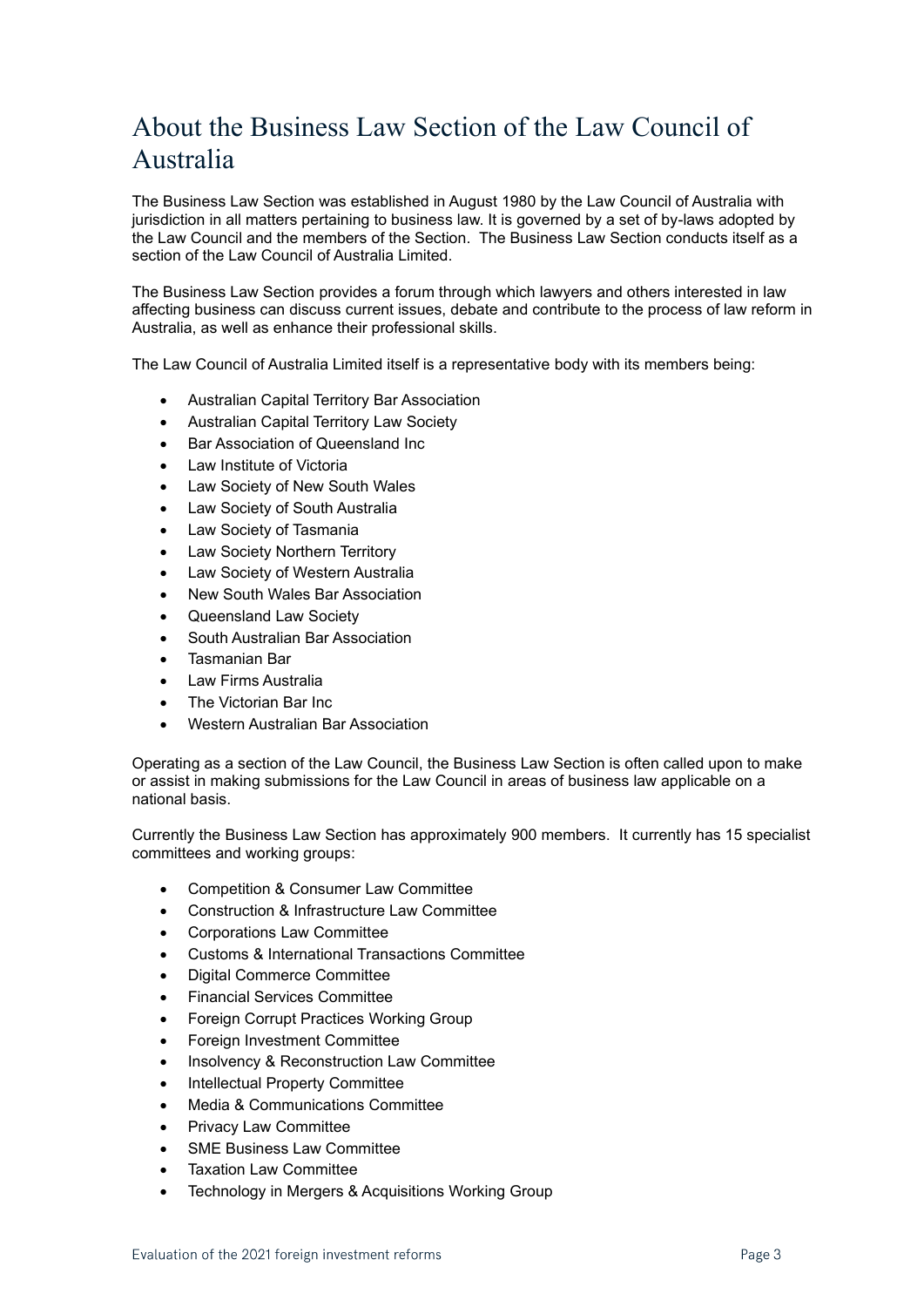# About the Business Law Section of the Law Council of Australia

The Business Law Section was established in August 1980 by the Law Council of Australia with jurisdiction in all matters pertaining to business law. It is governed by a set of by-laws adopted by the Law Council and the members of the Section. The Business Law Section conducts itself as a section of the Law Council of Australia Limited.

The Business Law Section provides a forum through which lawyers and others interested in law affecting business can discuss current issues, debate and contribute to the process of law reform in Australia, as well as enhance their professional skills.

The Law Council of Australia Limited itself is a representative body with its members being:

- Australian Capital Territory Bar Association
- Australian Capital Territory Law Society
- Bar Association of Queensland Inc
- Law Institute of Victoria
- Law Society of New South Wales
- Law Society of South Australia
- Law Society of Tasmania
- Law Society Northern Territory
- Law Society of Western Australia
- New South Wales Bar Association
- Queensland Law Society
- South Australian Bar Association
- Tasmanian Bar
- Law Firms Australia
- The Victorian Bar Inc
- Western Australian Bar Association

Operating as a section of the Law Council, the Business Law Section is often called upon to make or assist in making submissions for the Law Council in areas of business law applicable on a national basis.

Currently the Business Law Section has approximately 900 members. It currently has 15 specialist committees and working groups:

- Competition & Consumer Law Committee
- Construction & Infrastructure Law Committee
- Corporations Law Committee
- Customs & International Transactions Committee
- Digital Commerce Committee
- Financial Services Committee
- Foreign Corrupt Practices Working Group
- Foreign Investment Committee
- Insolvency & Reconstruction Law Committee
- Intellectual Property Committee
- Media & Communications Committee
- Privacy Law Committee
- SME Business Law Committee
- **Taxation Law Committee**
- Technology in Mergers & Acquisitions Working Group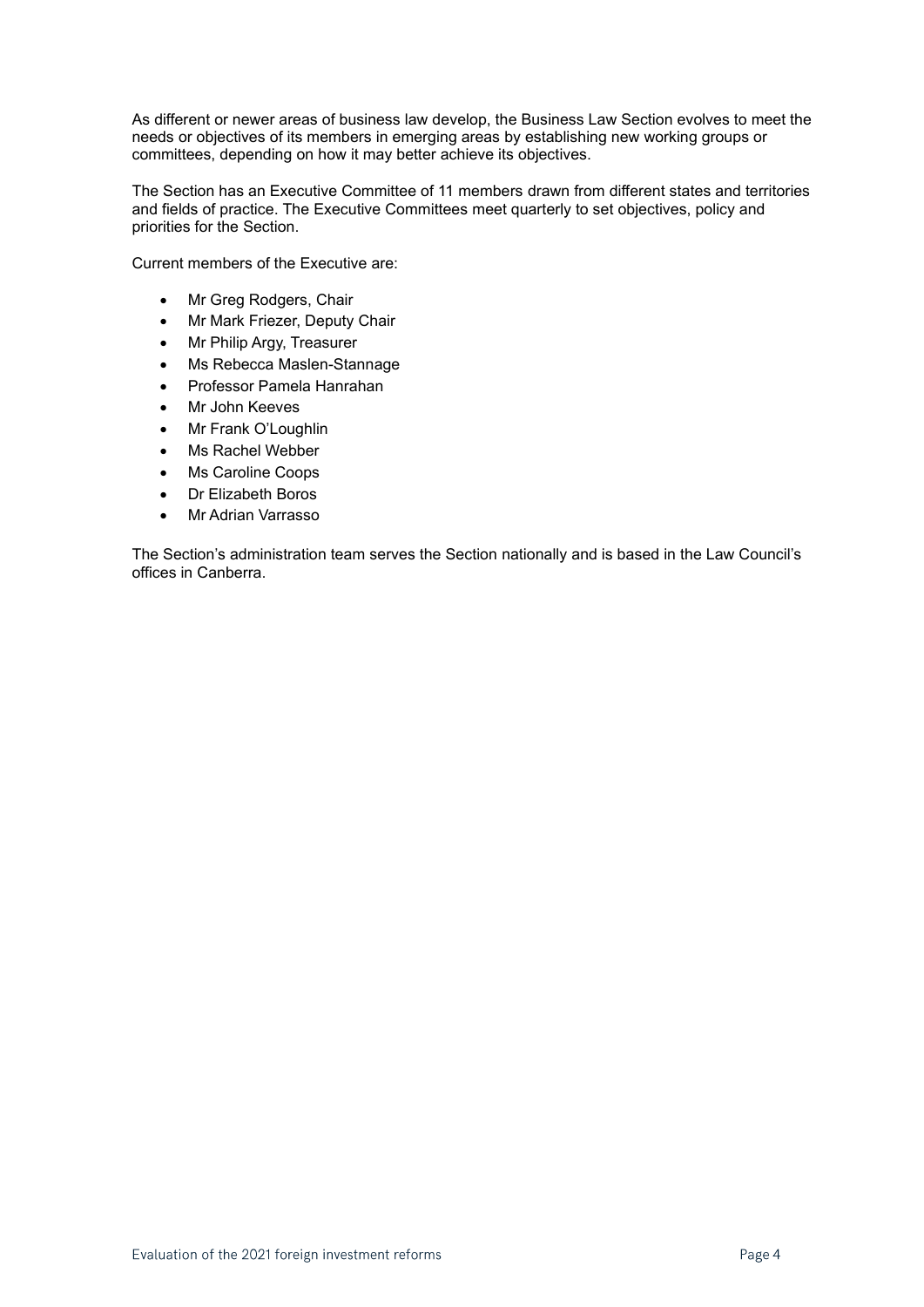As different or newer areas of business law develop, the Business Law Section evolves to meet the needs or objectives of its members in emerging areas by establishing new working groups or committees, depending on how it may better achieve its objectives.

The Section has an Executive Committee of 11 members drawn from different states and territories and fields of practice. The Executive Committees meet quarterly to set objectives, policy and priorities for the Section.

Current members of the Executive are:

- Mr Greg Rodgers, Chair
- Mr Mark Friezer, Deputy Chair
- Mr Philip Argy, Treasurer
- Ms Rebecca Maslen-Stannage
- Professor Pamela Hanrahan
- Mr John Keeves
- Mr Frank O'Loughlin
- Ms Rachel Webber
- Ms Caroline Coops
- Dr Elizabeth Boros
- Mr Adrian Varrasso

The Section's administration team serves the Section nationally and is based in the Law Council's offices in Canberra.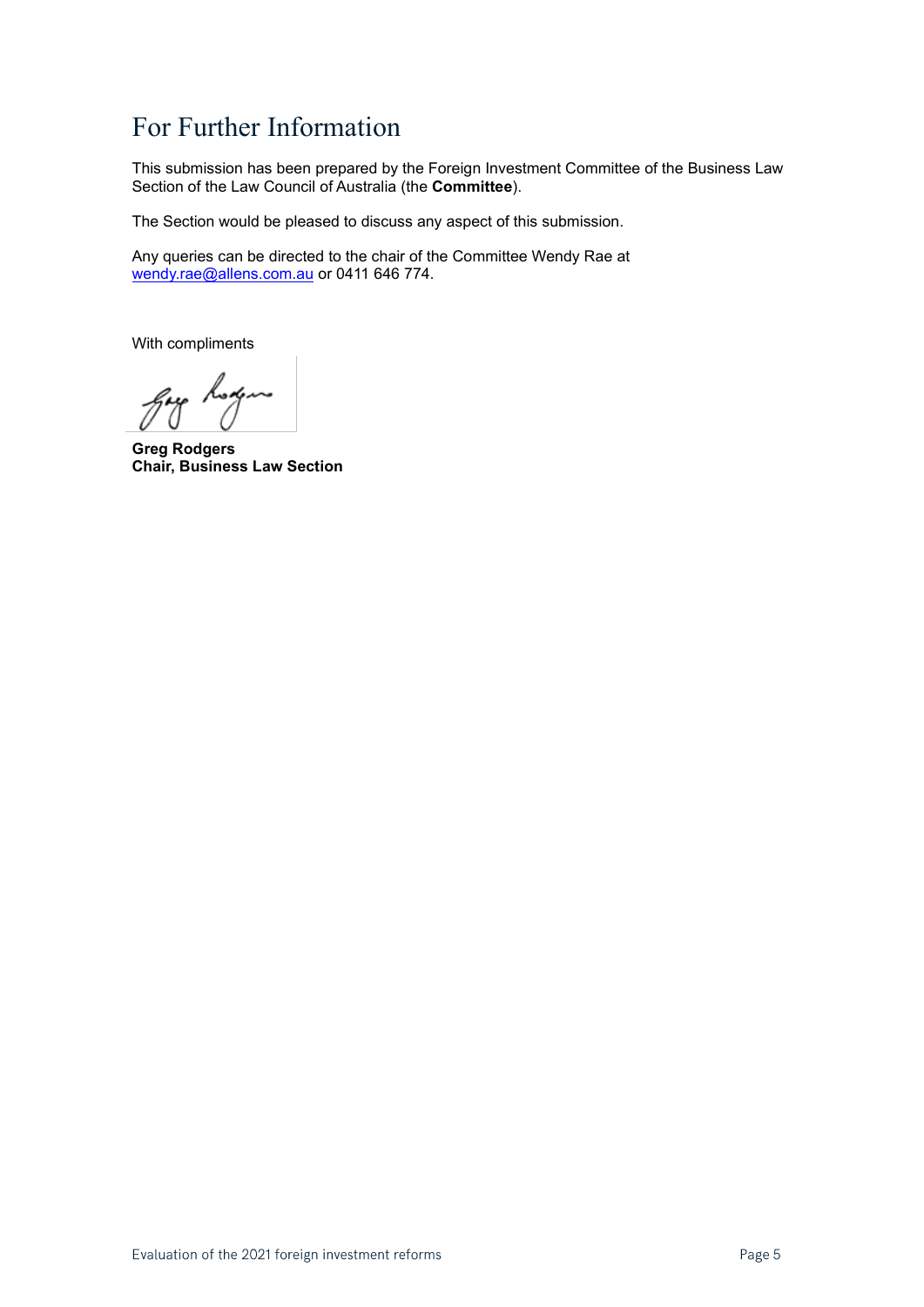# For Further Information

This submission has been prepared by the Foreign Investment Committee of the Business Law Section of the Law Council of Australia (the **Committee**).

The Section would be pleased to discuss any aspect of this submission.

Any queries can be directed to the chair of the Committee Wendy Rae at [wendy.rae@allens.com.au](mailto:wendy.rae@allens.com.au) or 0411 646 774.

With compliments

gay hoxen

**Greg Rodgers Chair, Business Law Section**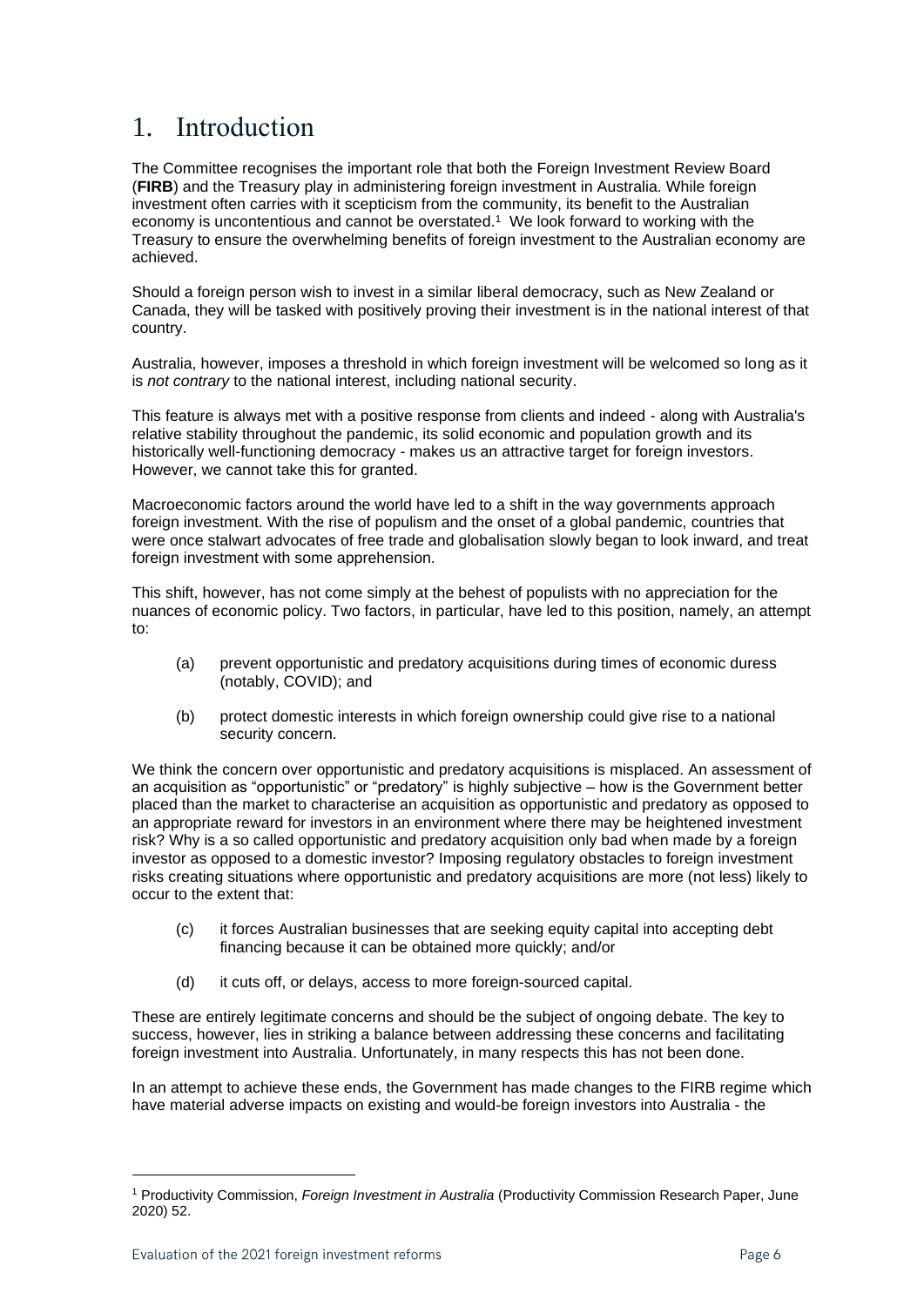## 1. Introduction

The Committee recognises the important role that both the Foreign Investment Review Board (**FIRB**) and the Treasury play in administering foreign investment in Australia. While foreign investment often carries with it scepticism from the community, its benefit to the Australian economy is uncontentious and cannot be overstated. 1 We look forward to working with the Treasury to ensure the overwhelming benefits of foreign investment to the Australian economy are achieved.

Should a foreign person wish to invest in a similar liberal democracy, such as New Zealand or Canada, they will be tasked with positively proving their investment is in the national interest of that country.

Australia, however, imposes a threshold in which foreign investment will be welcomed so long as it is *not contrary* to the national interest, including national security.

This feature is always met with a positive response from clients and indeed - along with Australia's relative stability throughout the pandemic, its solid economic and population growth and its historically well-functioning democracy - makes us an attractive target for foreign investors. However, we cannot take this for granted.

Macroeconomic factors around the world have led to a shift in the way governments approach foreign investment. With the rise of populism and the onset of a global pandemic, countries that were once stalwart advocates of free trade and globalisation slowly began to look inward, and treat foreign investment with some apprehension.

This shift, however, has not come simply at the behest of populists with no appreciation for the nuances of economic policy. Two factors, in particular, have led to this position, namely, an attempt to:

- (a) prevent opportunistic and predatory acquisitions during times of economic duress (notably, COVID); and
- (b) protect domestic interests in which foreign ownership could give rise to a national security concern.

We think the concern over opportunistic and predatory acquisitions is misplaced. An assessment of an acquisition as "opportunistic" or "predatory" is highly subjective – how is the Government better placed than the market to characterise an acquisition as opportunistic and predatory as opposed to an appropriate reward for investors in an environment where there may be heightened investment risk? Why is a so called opportunistic and predatory acquisition only bad when made by a foreign investor as opposed to a domestic investor? Imposing regulatory obstacles to foreign investment risks creating situations where opportunistic and predatory acquisitions are more (not less) likely to occur to the extent that:

- (c) it forces Australian businesses that are seeking equity capital into accepting debt financing because it can be obtained more quickly; and/or
- (d) it cuts off, or delays, access to more foreign-sourced capital.

These are entirely legitimate concerns and should be the subject of ongoing debate. The key to success, however, lies in striking a balance between addressing these concerns and facilitating foreign investment into Australia. Unfortunately, in many respects this has not been done.

In an attempt to achieve these ends, the Government has made changes to the FIRB regime which have material adverse impacts on existing and would-be foreign investors into Australia - the

<sup>1</sup> Productivity Commission, *Foreign Investment in Australia* (Productivity Commission Research Paper, June 2020) 52.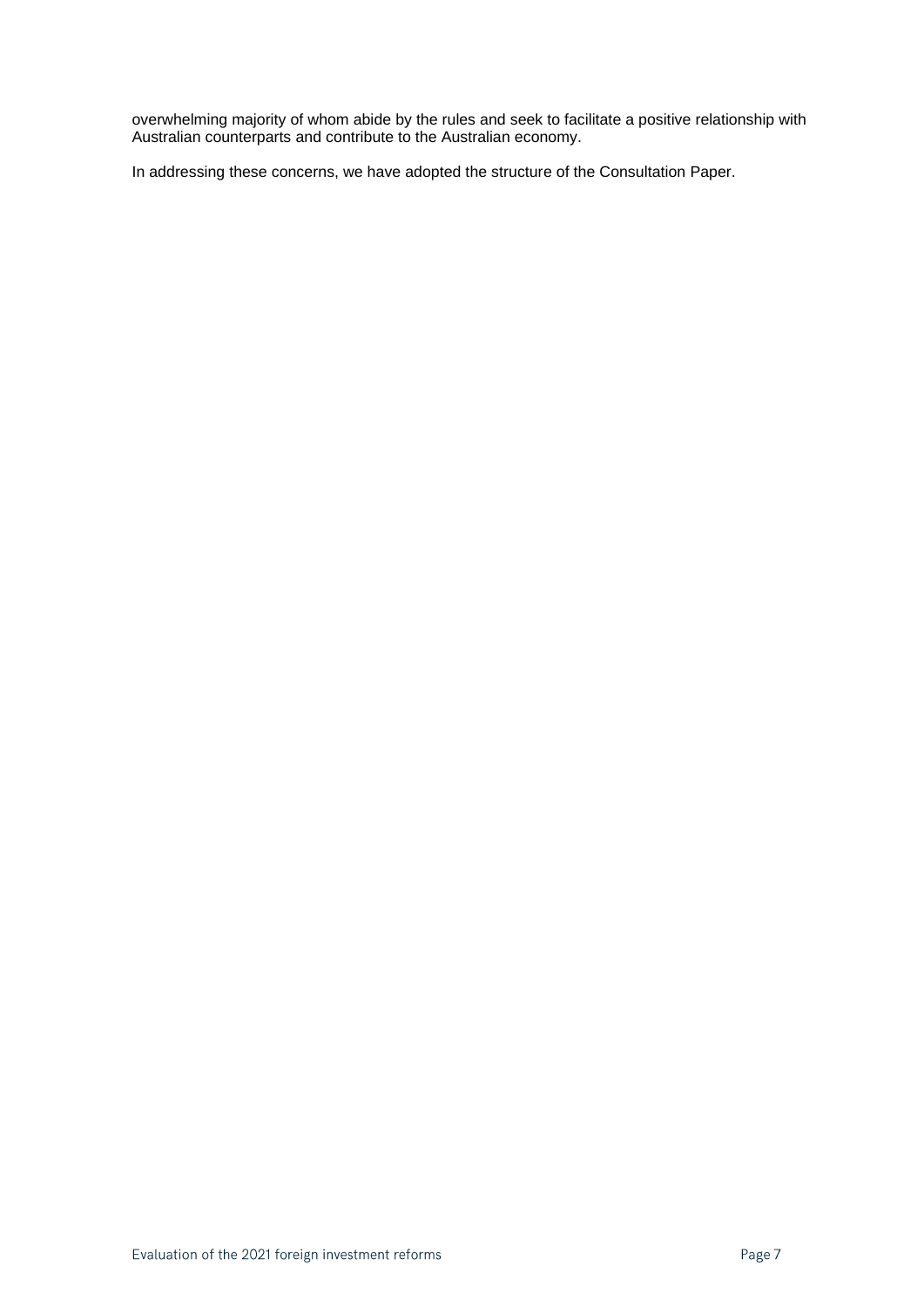overwhelming majority of whom abide by the rules and seek to facilitate a positive relationship with Australian counterparts and contribute to the Australian economy.

In addressing these concerns, we have adopted the structure of the Consultation Paper.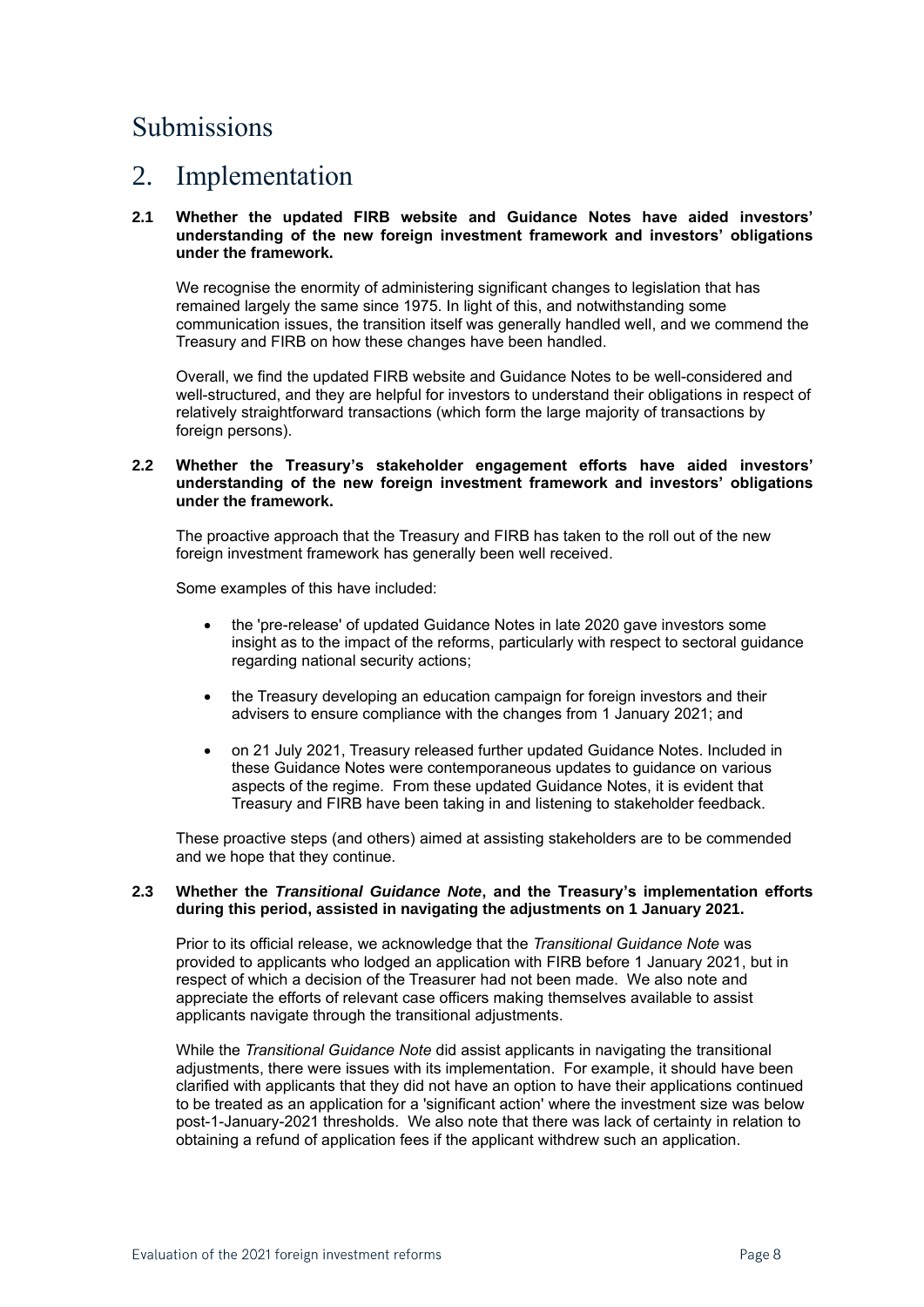# Submissions

### 2. Implementation

### **2.1 Whether the updated FIRB website and Guidance Notes have aided investors' understanding of the new foreign investment framework and investors' obligations under the framework.**

We recognise the enormity of administering significant changes to legislation that has remained largely the same since 1975. In light of this, and notwithstanding some communication issues, the transition itself was generally handled well, and we commend the Treasury and FIRB on how these changes have been handled.

Overall, we find the updated FIRB website and Guidance Notes to be well-considered and well-structured, and they are helpful for investors to understand their obligations in respect of relatively straightforward transactions (which form the large majority of transactions by foreign persons).

### **2.2 Whether the Treasury's stakeholder engagement efforts have aided investors' understanding of the new foreign investment framework and investors' obligations under the framework.**

The proactive approach that the Treasury and FIRB has taken to the roll out of the new foreign investment framework has generally been well received.

Some examples of this have included:

- the 'pre-release' of updated Guidance Notes in late 2020 gave investors some insight as to the impact of the reforms, particularly with respect to sectoral guidance regarding national security actions;
- the Treasury developing an education campaign for foreign investors and their advisers to ensure compliance with the changes from 1 January 2021; and
- on 21 July 2021, Treasury released further updated Guidance Notes. Included in these Guidance Notes were contemporaneous updates to guidance on various aspects of the regime. From these updated Guidance Notes, it is evident that Treasury and FIRB have been taking in and listening to stakeholder feedback.

These proactive steps (and others) aimed at assisting stakeholders are to be commended and we hope that they continue.

### **2.3 Whether the** *Transitional Guidance Note***, and the Treasury's implementation efforts during this period, assisted in navigating the adjustments on 1 January 2021.**

Prior to its official release, we acknowledge that the *Transitional Guidance Note* was provided to applicants who lodged an application with FIRB before 1 January 2021, but in respect of which a decision of the Treasurer had not been made. We also note and appreciate the efforts of relevant case officers making themselves available to assist applicants navigate through the transitional adjustments.

While the *Transitional Guidance Note* did assist applicants in navigating the transitional adjustments, there were issues with its implementation. For example, it should have been clarified with applicants that they did not have an option to have their applications continued to be treated as an application for a 'significant action' where the investment size was below post-1-January-2021 thresholds. We also note that there was lack of certainty in relation to obtaining a refund of application fees if the applicant withdrew such an application.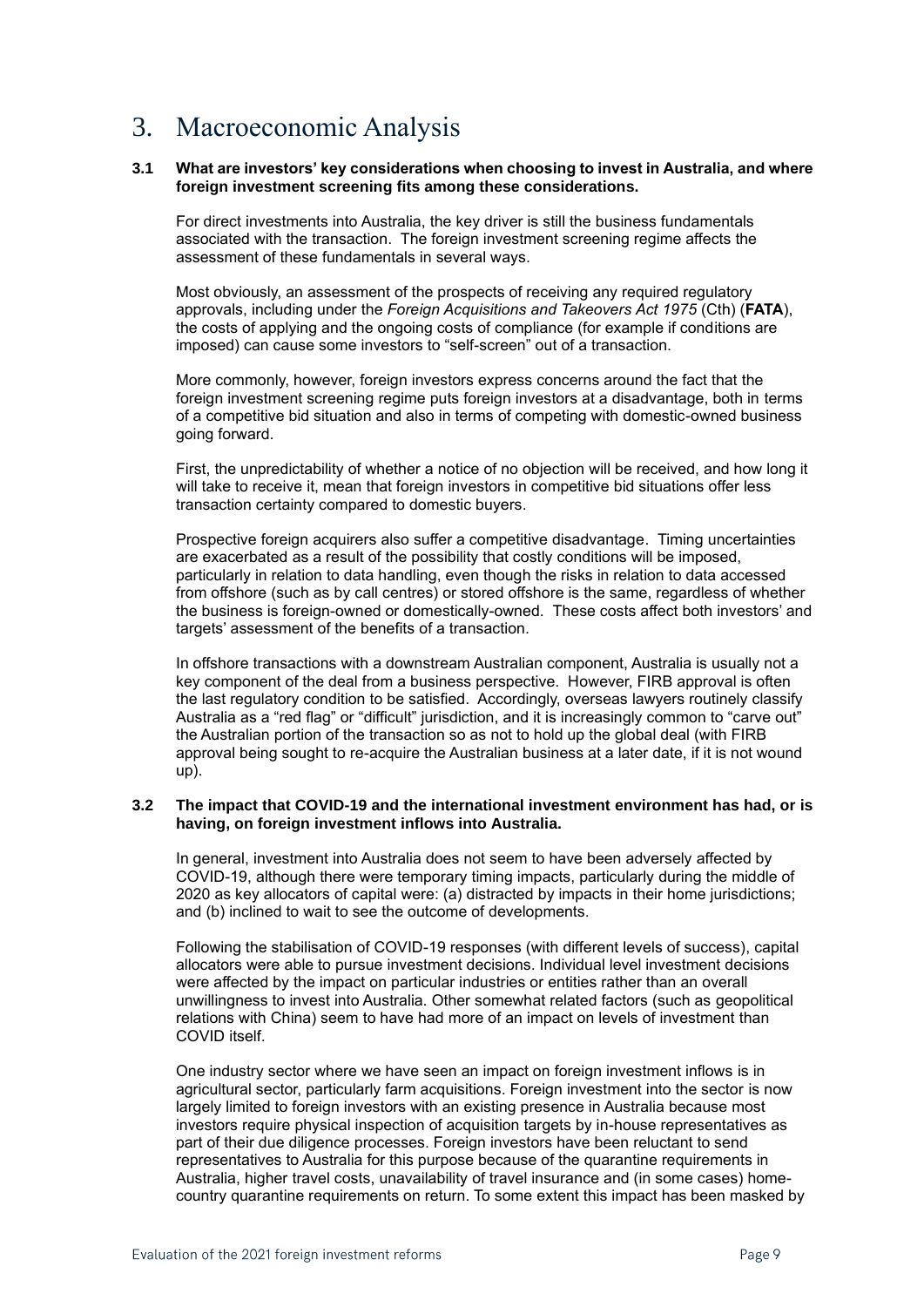# 3. Macroeconomic Analysis

### **3.1 What are investors' key considerations when choosing to invest in Australia, and where foreign investment screening fits among these considerations.**

For direct investments into Australia, the key driver is still the business fundamentals associated with the transaction. The foreign investment screening regime affects the assessment of these fundamentals in several ways.

Most obviously, an assessment of the prospects of receiving any required regulatory approvals, including under the *Foreign Acquisitions and Takeovers Act 1975* (Cth) (**FATA**), the costs of applying and the ongoing costs of compliance (for example if conditions are imposed) can cause some investors to "self-screen" out of a transaction.

More commonly, however, foreign investors express concerns around the fact that the foreign investment screening regime puts foreign investors at a disadvantage, both in terms of a competitive bid situation and also in terms of competing with domestic-owned business going forward.

First, the unpredictability of whether a notice of no objection will be received, and how long it will take to receive it, mean that foreign investors in competitive bid situations offer less transaction certainty compared to domestic buyers.

Prospective foreign acquirers also suffer a competitive disadvantage. Timing uncertainties are exacerbated as a result of the possibility that costly conditions will be imposed, particularly in relation to data handling, even though the risks in relation to data accessed from offshore (such as by call centres) or stored offshore is the same, regardless of whether the business is foreign-owned or domestically-owned. These costs affect both investors' and targets' assessment of the benefits of a transaction.

In offshore transactions with a downstream Australian component, Australia is usually not a key component of the deal from a business perspective. However, FIRB approval is often the last regulatory condition to be satisfied. Accordingly, overseas lawyers routinely classify Australia as a "red flag" or "difficult" jurisdiction, and it is increasingly common to "carve out" the Australian portion of the transaction so as not to hold up the global deal (with FIRB approval being sought to re-acquire the Australian business at a later date, if it is not wound up).

### **3.2 The impact that COVID-19 and the international investment environment has had, or is having, on foreign investment inflows into Australia.**

In general, investment into Australia does not seem to have been adversely affected by COVID-19, although there were temporary timing impacts, particularly during the middle of 2020 as key allocators of capital were: (a) distracted by impacts in their home jurisdictions; and (b) inclined to wait to see the outcome of developments.

Following the stabilisation of COVID-19 responses (with different levels of success), capital allocators were able to pursue investment decisions. Individual level investment decisions were affected by the impact on particular industries or entities rather than an overall unwillingness to invest into Australia. Other somewhat related factors (such as geopolitical relations with China) seem to have had more of an impact on levels of investment than COVID itself.

One industry sector where we have seen an impact on foreign investment inflows is in agricultural sector, particularly farm acquisitions. Foreign investment into the sector is now largely limited to foreign investors with an existing presence in Australia because most investors require physical inspection of acquisition targets by in-house representatives as part of their due diligence processes. Foreign investors have been reluctant to send representatives to Australia for this purpose because of the quarantine requirements in Australia, higher travel costs, unavailability of travel insurance and (in some cases) homecountry quarantine requirements on return. To some extent this impact has been masked by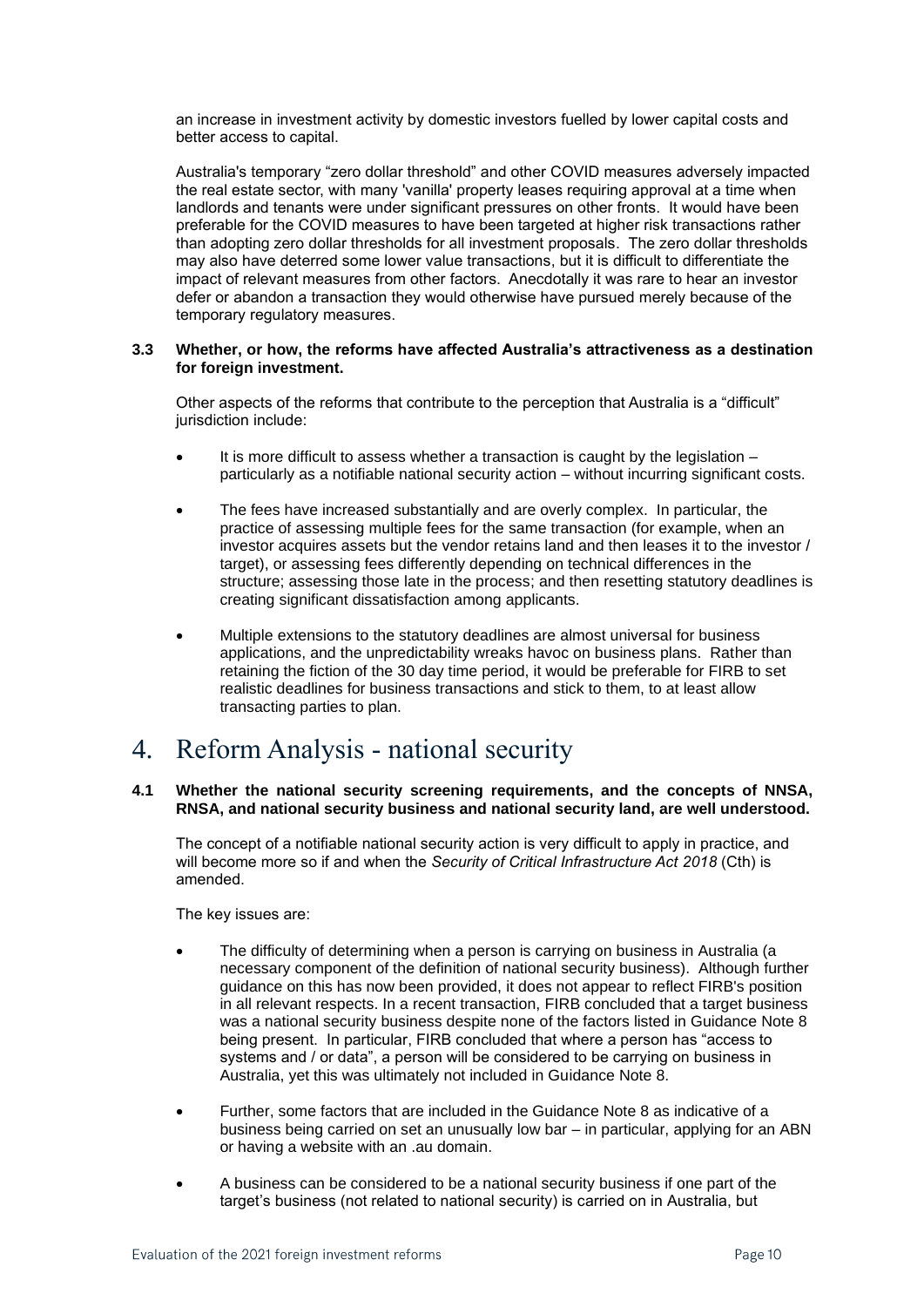an increase in investment activity by domestic investors fuelled by lower capital costs and better access to capital.

Australia's temporary "zero dollar threshold" and other COVID measures adversely impacted the real estate sector, with many 'vanilla' property leases requiring approval at a time when landlords and tenants were under significant pressures on other fronts. It would have been preferable for the COVID measures to have been targeted at higher risk transactions rather than adopting zero dollar thresholds for all investment proposals. The zero dollar thresholds may also have deterred some lower value transactions, but it is difficult to differentiate the impact of relevant measures from other factors. Anecdotally it was rare to hear an investor defer or abandon a transaction they would otherwise have pursued merely because of the temporary regulatory measures.

### **3.3 Whether, or how, the reforms have affected Australia's attractiveness as a destination for foreign investment.**

Other aspects of the reforms that contribute to the perception that Australia is a "difficult" jurisdiction include:

- It is more difficult to assess whether a transaction is caught by the legislation  $$ particularly as a notifiable national security action – without incurring significant costs.
- The fees have increased substantially and are overly complex. In particular, the practice of assessing multiple fees for the same transaction (for example, when an investor acquires assets but the vendor retains land and then leases it to the investor / target), or assessing fees differently depending on technical differences in the structure; assessing those late in the process; and then resetting statutory deadlines is creating significant dissatisfaction among applicants.
- Multiple extensions to the statutory deadlines are almost universal for business applications, and the unpredictability wreaks havoc on business plans. Rather than retaining the fiction of the 30 day time period, it would be preferable for FIRB to set realistic deadlines for business transactions and stick to them, to at least allow transacting parties to plan.

### 4. Reform Analysis - national security

### **4.1 Whether the national security screening requirements, and the concepts of NNSA, RNSA, and national security business and national security land, are well understood.**

The concept of a notifiable national security action is very difficult to apply in practice, and will become more so if and when the *Security of Critical Infrastructure Act 2018* (Cth) is amended.

The key issues are:

- The difficulty of determining when a person is carrying on business in Australia (a necessary component of the definition of national security business). Although further guidance on this has now been provided, it does not appear to reflect FIRB's position in all relevant respects. In a recent transaction, FIRB concluded that a target business was a national security business despite none of the factors listed in Guidance Note 8 being present. In particular, FIRB concluded that where a person has "access to systems and / or data", a person will be considered to be carrying on business in Australia, yet this was ultimately not included in Guidance Note 8.
- Further, some factors that are included in the Guidance Note 8 as indicative of a business being carried on set an unusually low bar – in particular, applying for an ABN or having a website with an .au domain.
- A business can be considered to be a national security business if one part of the target's business (not related to national security) is carried on in Australia, but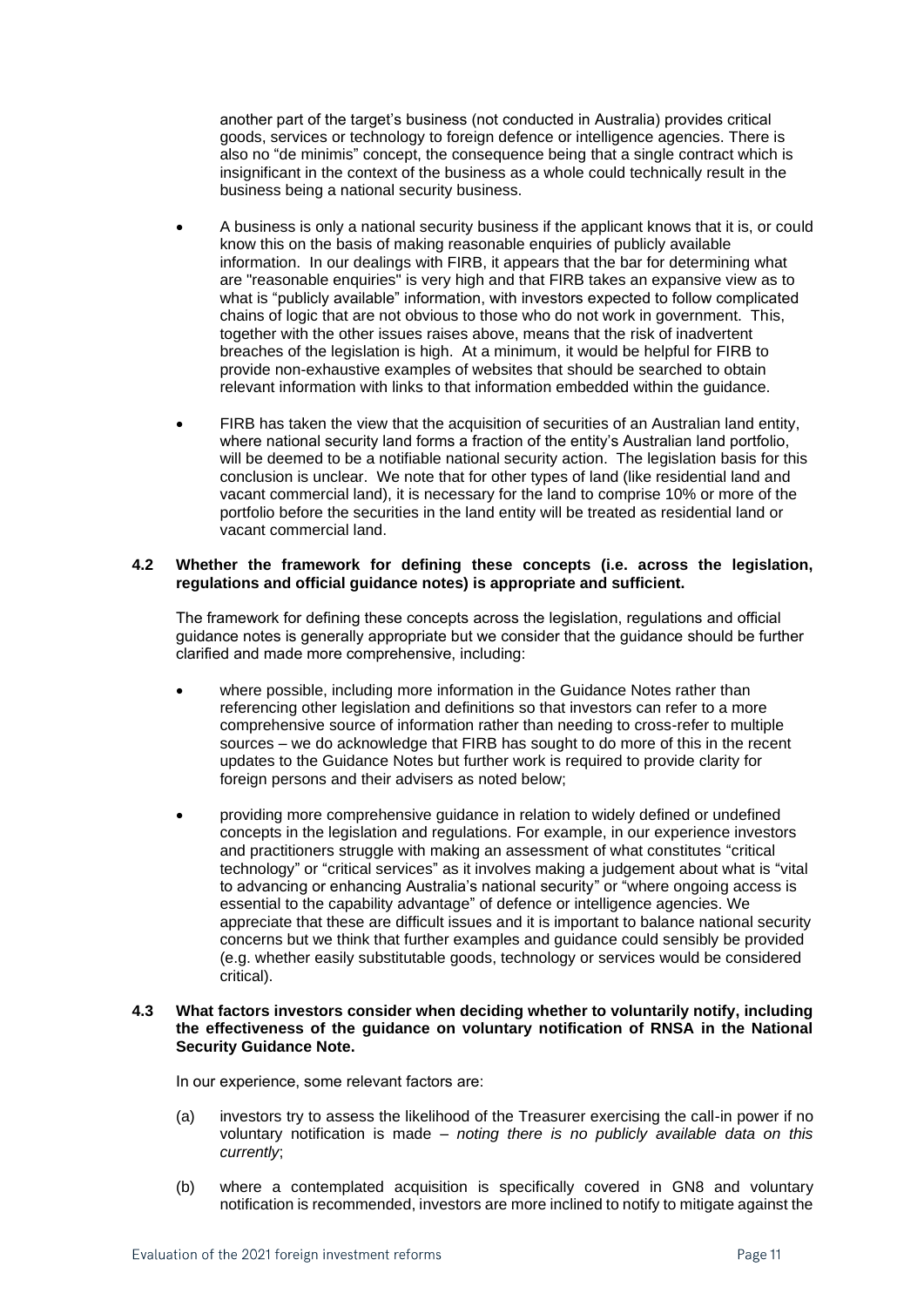another part of the target's business (not conducted in Australia) provides critical goods, services or technology to foreign defence or intelligence agencies. There is also no "de minimis" concept, the consequence being that a single contract which is insignificant in the context of the business as a whole could technically result in the business being a national security business.

- A business is only a national security business if the applicant knows that it is, or could know this on the basis of making reasonable enquiries of publicly available information. In our dealings with FIRB, it appears that the bar for determining what are "reasonable enquiries" is very high and that FIRB takes an expansive view as to what is "publicly available" information, with investors expected to follow complicated chains of logic that are not obvious to those who do not work in government. This, together with the other issues raises above, means that the risk of inadvertent breaches of the legislation is high. At a minimum, it would be helpful for FIRB to provide non-exhaustive examples of websites that should be searched to obtain relevant information with links to that information embedded within the guidance.
- FIRB has taken the view that the acquisition of securities of an Australian land entity, where national security land forms a fraction of the entity's Australian land portfolio, will be deemed to be a notifiable national security action. The legislation basis for this conclusion is unclear. We note that for other types of land (like residential land and vacant commercial land), it is necessary for the land to comprise 10% or more of the portfolio before the securities in the land entity will be treated as residential land or vacant commercial land.

### **4.2 Whether the framework for defining these concepts (i.e. across the legislation, regulations and official guidance notes) is appropriate and sufficient.**

The framework for defining these concepts across the legislation, regulations and official guidance notes is generally appropriate but we consider that the guidance should be further clarified and made more comprehensive, including:

- where possible, including more information in the Guidance Notes rather than referencing other legislation and definitions so that investors can refer to a more comprehensive source of information rather than needing to cross-refer to multiple sources – we do acknowledge that FIRB has sought to do more of this in the recent updates to the Guidance Notes but further work is required to provide clarity for foreign persons and their advisers as noted below;
- providing more comprehensive guidance in relation to widely defined or undefined concepts in the legislation and regulations. For example, in our experience investors and practitioners struggle with making an assessment of what constitutes "critical technology" or "critical services" as it involves making a judgement about what is "vital to advancing or enhancing Australia's national security" or "where ongoing access is essential to the capability advantage" of defence or intelligence agencies. We appreciate that these are difficult issues and it is important to balance national security concerns but we think that further examples and guidance could sensibly be provided (e.g. whether easily substitutable goods, technology or services would be considered critical).

### **4.3 What factors investors consider when deciding whether to voluntarily notify, including the effectiveness of the guidance on voluntary notification of RNSA in the National Security Guidance Note.**

In our experience, some relevant factors are:

- (a) investors try to assess the likelihood of the Treasurer exercising the call-in power if no voluntary notification is made – *noting there is no publicly available data on this currently*;
- (b) where a contemplated acquisition is specifically covered in GN8 and voluntary notification is recommended, investors are more inclined to notify to mitigate against the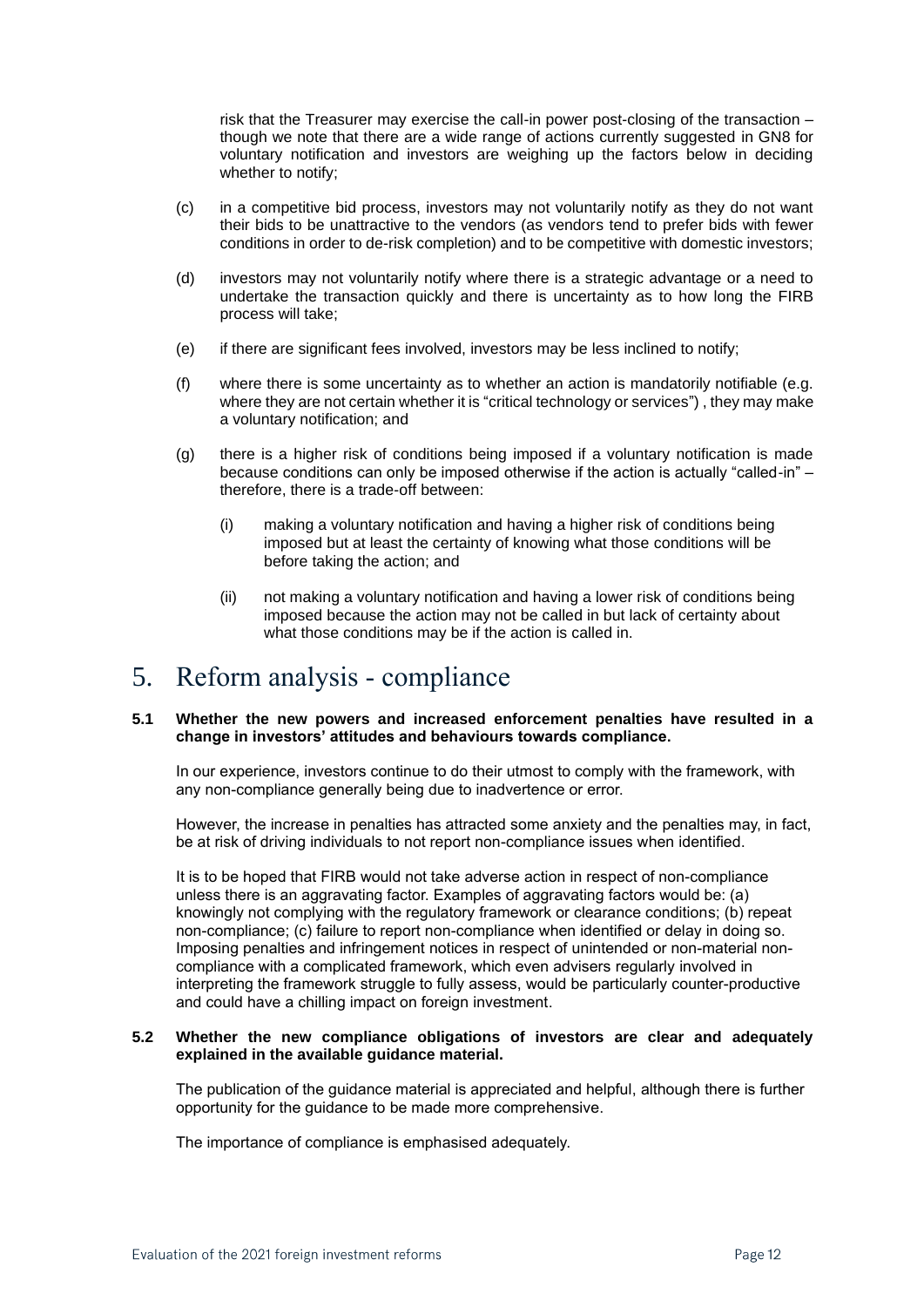risk that the Treasurer may exercise the call-in power post-closing of the transaction – though we note that there are a wide range of actions currently suggested in GN8 for voluntary notification and investors are weighing up the factors below in deciding whether to notify;

- (c) in a competitive bid process, investors may not voluntarily notify as they do not want their bids to be unattractive to the vendors (as vendors tend to prefer bids with fewer conditions in order to de-risk completion) and to be competitive with domestic investors;
- (d) investors may not voluntarily notify where there is a strategic advantage or a need to undertake the transaction quickly and there is uncertainty as to how long the FIRB process will take;
- (e) if there are significant fees involved, investors may be less inclined to notify;
- (f) where there is some uncertainty as to whether an action is mandatorily notifiable (e.g. where they are not certain whether it is "critical technology or services") , they may make a voluntary notification; and
- (g) there is a higher risk of conditions being imposed if a voluntary notification is made because conditions can only be imposed otherwise if the action is actually "called-in" – therefore, there is a trade-off between:
	- (i) making a voluntary notification and having a higher risk of conditions being imposed but at least the certainty of knowing what those conditions will be before taking the action; and
	- (ii) not making a voluntary notification and having a lower risk of conditions being imposed because the action may not be called in but lack of certainty about what those conditions may be if the action is called in.

### 5. Reform analysis - compliance

### **5.1 Whether the new powers and increased enforcement penalties have resulted in a change in investors' attitudes and behaviours towards compliance.**

In our experience, investors continue to do their utmost to comply with the framework, with any non-compliance generally being due to inadvertence or error.

However, the increase in penalties has attracted some anxiety and the penalties may, in fact, be at risk of driving individuals to not report non-compliance issues when identified.

It is to be hoped that FIRB would not take adverse action in respect of non-compliance unless there is an aggravating factor. Examples of aggravating factors would be: (a) knowingly not complying with the regulatory framework or clearance conditions; (b) repeat non-compliance; (c) failure to report non-compliance when identified or delay in doing so. Imposing penalties and infringement notices in respect of unintended or non-material noncompliance with a complicated framework, which even advisers regularly involved in interpreting the framework struggle to fully assess, would be particularly counter-productive and could have a chilling impact on foreign investment.

### **5.2 Whether the new compliance obligations of investors are clear and adequately explained in the available guidance material.**

The publication of the guidance material is appreciated and helpful, although there is further opportunity for the guidance to be made more comprehensive.

The importance of compliance is emphasised adequately.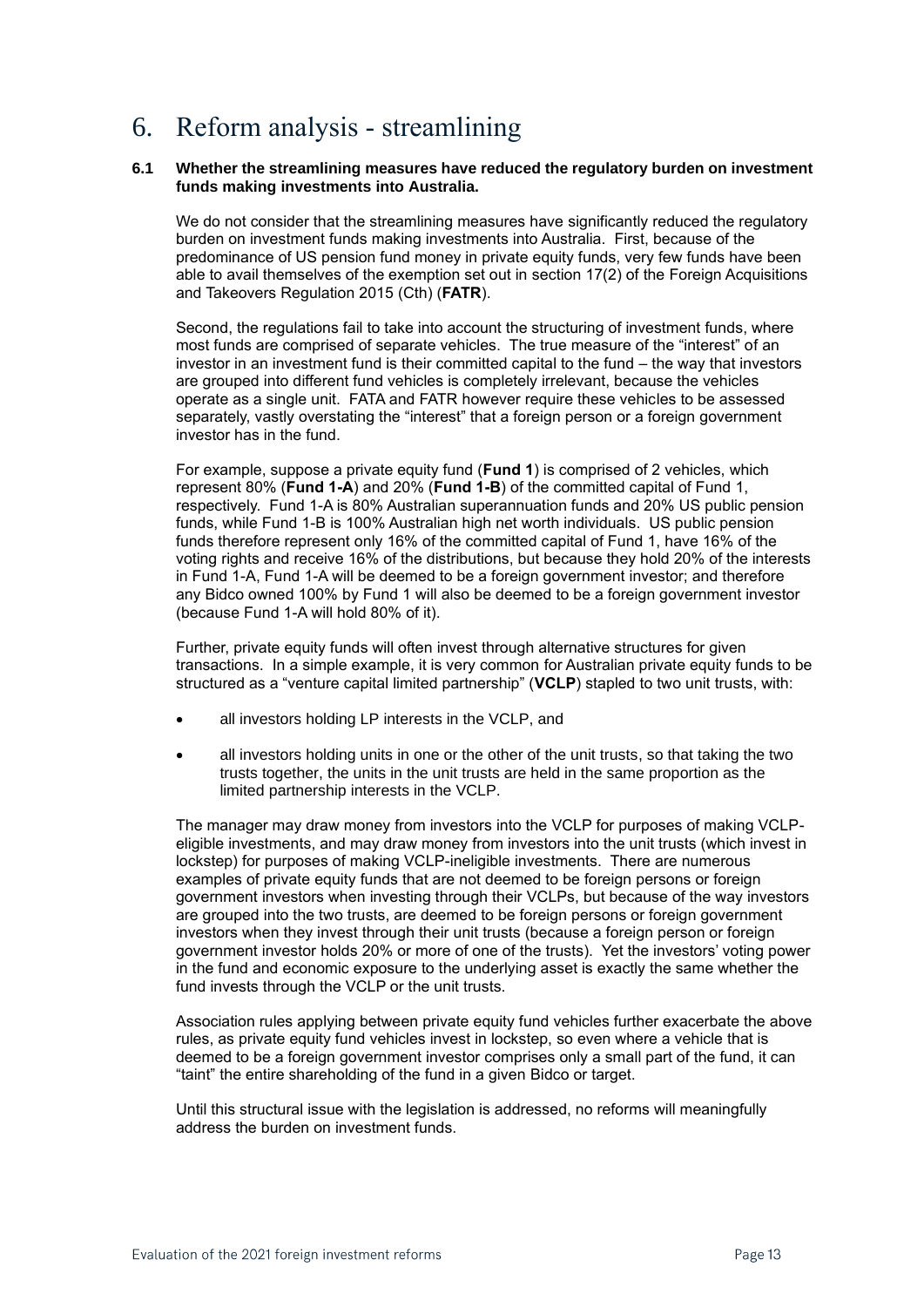# 6. Reform analysis - streamlining

### **6.1 Whether the streamlining measures have reduced the regulatory burden on investment funds making investments into Australia.**

We do not consider that the streamlining measures have significantly reduced the regulatory burden on investment funds making investments into Australia. First, because of the predominance of US pension fund money in private equity funds, very few funds have been able to avail themselves of the exemption set out in section 17(2) of the Foreign Acquisitions and Takeovers Regulation 2015 (Cth) (**FATR**).

Second, the regulations fail to take into account the structuring of investment funds, where most funds are comprised of separate vehicles. The true measure of the "interest" of an investor in an investment fund is their committed capital to the fund – the way that investors are grouped into different fund vehicles is completely irrelevant, because the vehicles operate as a single unit. FATA and FATR however require these vehicles to be assessed separately, vastly overstating the "interest" that a foreign person or a foreign government investor has in the fund.

For example, suppose a private equity fund (**Fund 1**) is comprised of 2 vehicles, which represent 80% (**Fund 1-A**) and 20% (**Fund 1-B**) of the committed capital of Fund 1, respectively. Fund 1-A is 80% Australian superannuation funds and 20% US public pension funds, while Fund 1-B is 100% Australian high net worth individuals. US public pension funds therefore represent only 16% of the committed capital of Fund 1, have 16% of the voting rights and receive 16% of the distributions, but because they hold 20% of the interests in Fund 1-A, Fund 1-A will be deemed to be a foreign government investor; and therefore any Bidco owned 100% by Fund 1 will also be deemed to be a foreign government investor (because Fund 1-A will hold 80% of it).

Further, private equity funds will often invest through alternative structures for given transactions. In a simple example, it is very common for Australian private equity funds to be structured as a "venture capital limited partnership" (**VCLP**) stapled to two unit trusts, with:

- all investors holding LP interests in the VCLP, and
- all investors holding units in one or the other of the unit trusts, so that taking the two trusts together, the units in the unit trusts are held in the same proportion as the limited partnership interests in the VCLP.

The manager may draw money from investors into the VCLP for purposes of making VCLPeligible investments, and may draw money from investors into the unit trusts (which invest in lockstep) for purposes of making VCLP-ineligible investments. There are numerous examples of private equity funds that are not deemed to be foreign persons or foreign government investors when investing through their VCLPs, but because of the way investors are grouped into the two trusts, are deemed to be foreign persons or foreign government investors when they invest through their unit trusts (because a foreign person or foreign government investor holds 20% or more of one of the trusts). Yet the investors' voting power in the fund and economic exposure to the underlying asset is exactly the same whether the fund invests through the VCLP or the unit trusts.

Association rules applying between private equity fund vehicles further exacerbate the above rules, as private equity fund vehicles invest in lockstep, so even where a vehicle that is deemed to be a foreign government investor comprises only a small part of the fund, it can "taint" the entire shareholding of the fund in a given Bidco or target.

Until this structural issue with the legislation is addressed, no reforms will meaningfully address the burden on investment funds.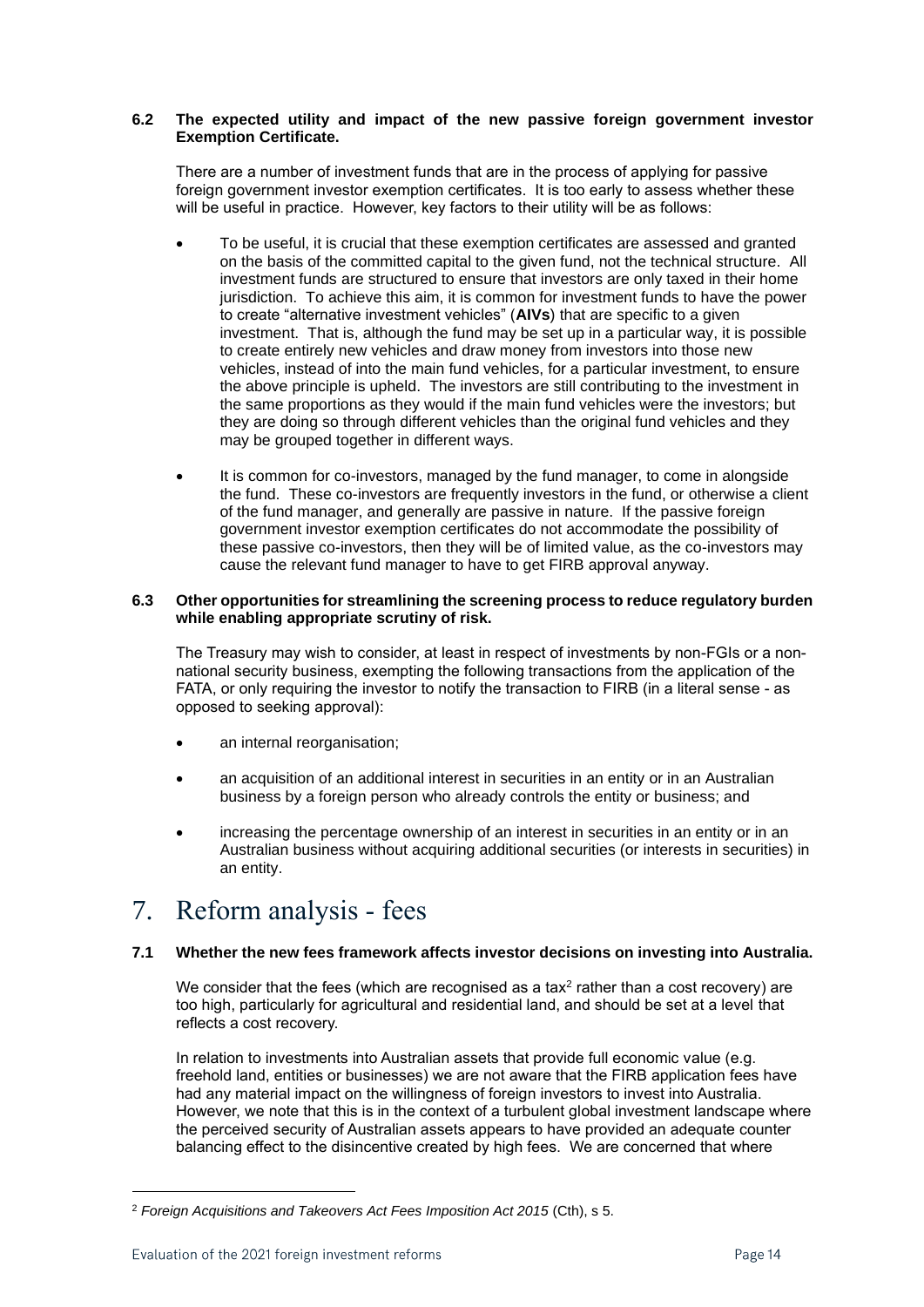### **6.2 The expected utility and impact of the new passive foreign government investor Exemption Certificate.**

There are a number of investment funds that are in the process of applying for passive foreign government investor exemption certificates. It is too early to assess whether these will be useful in practice. However, key factors to their utility will be as follows:

- To be useful, it is crucial that these exemption certificates are assessed and granted on the basis of the committed capital to the given fund, not the technical structure. All investment funds are structured to ensure that investors are only taxed in their home jurisdiction. To achieve this aim, it is common for investment funds to have the power to create "alternative investment vehicles" (**AIVs**) that are specific to a given investment. That is, although the fund may be set up in a particular way, it is possible to create entirely new vehicles and draw money from investors into those new vehicles, instead of into the main fund vehicles, for a particular investment, to ensure the above principle is upheld. The investors are still contributing to the investment in the same proportions as they would if the main fund vehicles were the investors; but they are doing so through different vehicles than the original fund vehicles and they may be grouped together in different ways.
- It is common for co-investors, managed by the fund manager, to come in alongside the fund. These co-investors are frequently investors in the fund, or otherwise a client of the fund manager, and generally are passive in nature. If the passive foreign government investor exemption certificates do not accommodate the possibility of these passive co-investors, then they will be of limited value, as the co-investors may cause the relevant fund manager to have to get FIRB approval anyway.

### **6.3 Other opportunities for streamlining the screening process to reduce regulatory burden while enabling appropriate scrutiny of risk.**

The Treasury may wish to consider, at least in respect of investments by non-FGIs or a nonnational security business, exempting the following transactions from the application of the FATA, or only requiring the investor to notify the transaction to FIRB (in a literal sense - as opposed to seeking approval):

- an internal reorganisation;
- an acquisition of an additional interest in securities in an entity or in an Australian business by a foreign person who already controls the entity or business; and
- increasing the percentage ownership of an interest in securities in an entity or in an Australian business without acquiring additional securities (or interests in securities) in an entity.

### 7. Reform analysis - fees

### <span id="page-13-0"></span>**7.1 Whether the new fees framework affects investor decisions on investing into Australia.**

We consider that the fees (which are recognised as a tax<sup>2</sup> rather than a cost recovery) are too high, particularly for agricultural and residential land, and should be set at a level that reflects a cost recovery.

In relation to investments into Australian assets that provide full economic value (e.g. freehold land, entities or businesses) we are not aware that the FIRB application fees have had any material impact on the willingness of foreign investors to invest into Australia. However, we note that this is in the context of a turbulent global investment landscape where the perceived security of Australian assets appears to have provided an adequate counter balancing effect to the disincentive created by high fees. We are concerned that where

<sup>2</sup> *Foreign Acquisitions and Takeovers Act Fees Imposition Act 2015* (Cth), s 5.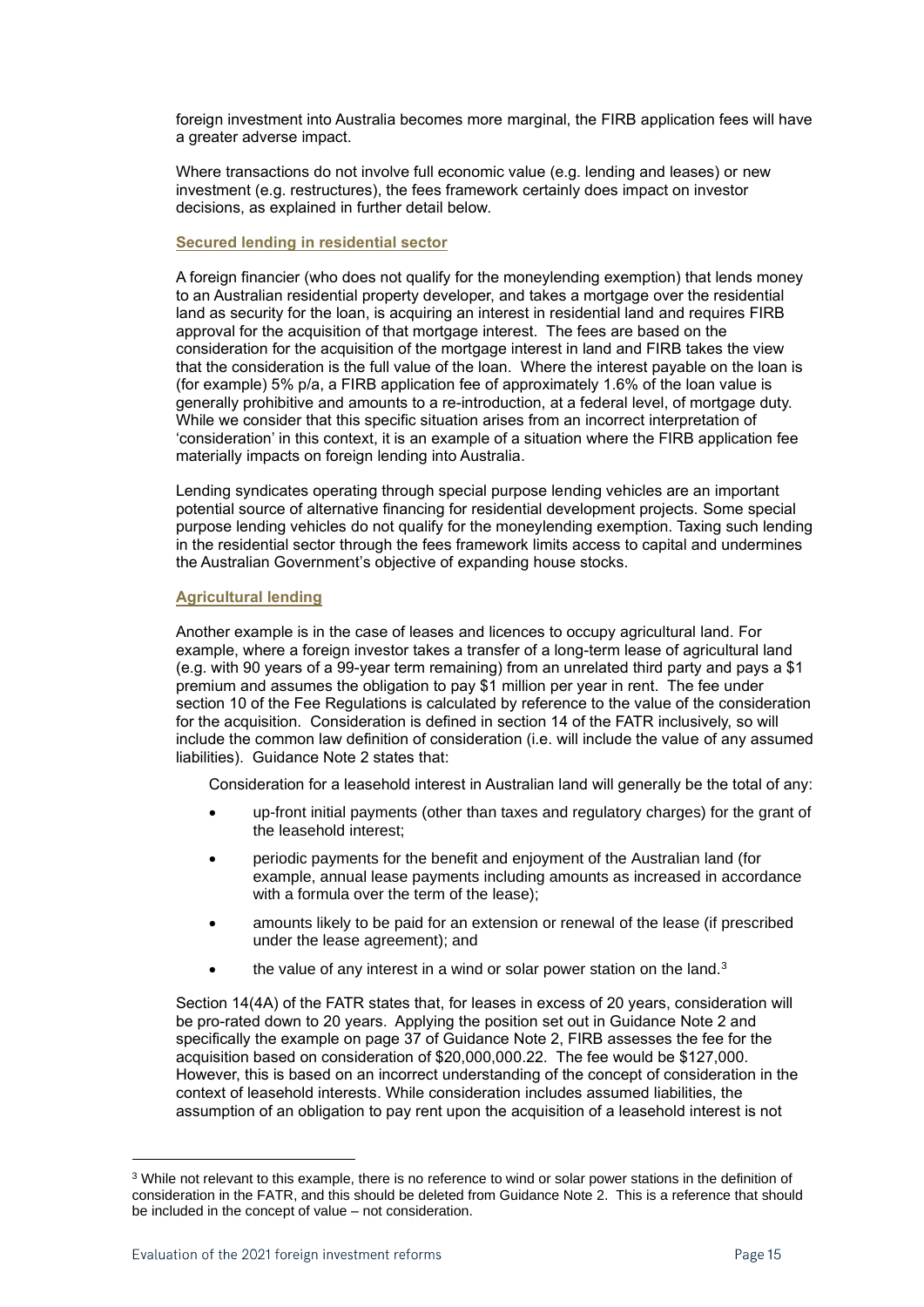foreign investment into Australia becomes more marginal, the FIRB application fees will have a greater adverse impact.

Where transactions do not involve full economic value (e.g. lending and leases) or new investment (e.g. restructures), the fees framework certainly does impact on investor decisions, as explained in further detail below.

### **Secured lending in residential sector**

A foreign financier (who does not qualify for the moneylending exemption) that lends money to an Australian residential property developer, and takes a mortgage over the residential land as security for the loan, is acquiring an interest in residential land and requires FIRB approval for the acquisition of that mortgage interest. The fees are based on the consideration for the acquisition of the mortgage interest in land and FIRB takes the view that the consideration is the full value of the loan. Where the interest payable on the loan is (for example) 5% p/a, a FIRB application fee of approximately 1.6% of the loan value is generally prohibitive and amounts to a re-introduction, at a federal level, of mortgage duty. While we consider that this specific situation arises from an incorrect interpretation of 'consideration' in this context, it is an example of a situation where the FIRB application fee materially impacts on foreign lending into Australia.

Lending syndicates operating through special purpose lending vehicles are an important potential source of alternative financing for residential development projects. Some special purpose lending vehicles do not qualify for the moneylending exemption. Taxing such lending in the residential sector through the fees framework limits access to capital and undermines the Australian Government's objective of expanding house stocks.

### **Agricultural lending**

Another example is in the case of leases and licences to occupy agricultural land. For example, where a foreign investor takes a transfer of a long-term lease of agricultural land (e.g. with 90 years of a 99-year term remaining) from an unrelated third party and pays a \$1 premium and assumes the obligation to pay \$1 million per year in rent. The fee under section 10 of the Fee Regulations is calculated by reference to the value of the consideration for the acquisition. Consideration is defined in section 14 of the FATR inclusively, so will include the common law definition of consideration (i.e. will include the value of any assumed liabilities). Guidance Note 2 states that:

Consideration for a leasehold interest in Australian land will generally be the total of any:

- up-front initial payments (other than taxes and regulatory charges) for the grant of the leasehold interest;
- periodic payments for the benefit and enjoyment of the Australian land (for example, annual lease payments including amounts as increased in accordance with a formula over the term of the lease);
- amounts likely to be paid for an extension or renewal of the lease (if prescribed under the lease agreement); and
- the value of any interest in a wind or solar power station on the land.<sup>3</sup>

Section 14(4A) of the FATR states that, for leases in excess of 20 years, consideration will be pro-rated down to 20 years. Applying the position set out in Guidance Note 2 and specifically the example on page 37 of Guidance Note 2, FIRB assesses the fee for the acquisition based on consideration of \$20,000,000.22. The fee would be \$127,000. However, this is based on an incorrect understanding of the concept of consideration in the context of leasehold interests. While consideration includes assumed liabilities, the assumption of an obligation to pay rent upon the acquisition of a leasehold interest is not

<sup>&</sup>lt;sup>3</sup> While not relevant to this example, there is no reference to wind or solar power stations in the definition of consideration in the FATR, and this should be deleted from Guidance Note 2. This is a reference that should be included in the concept of value – not consideration.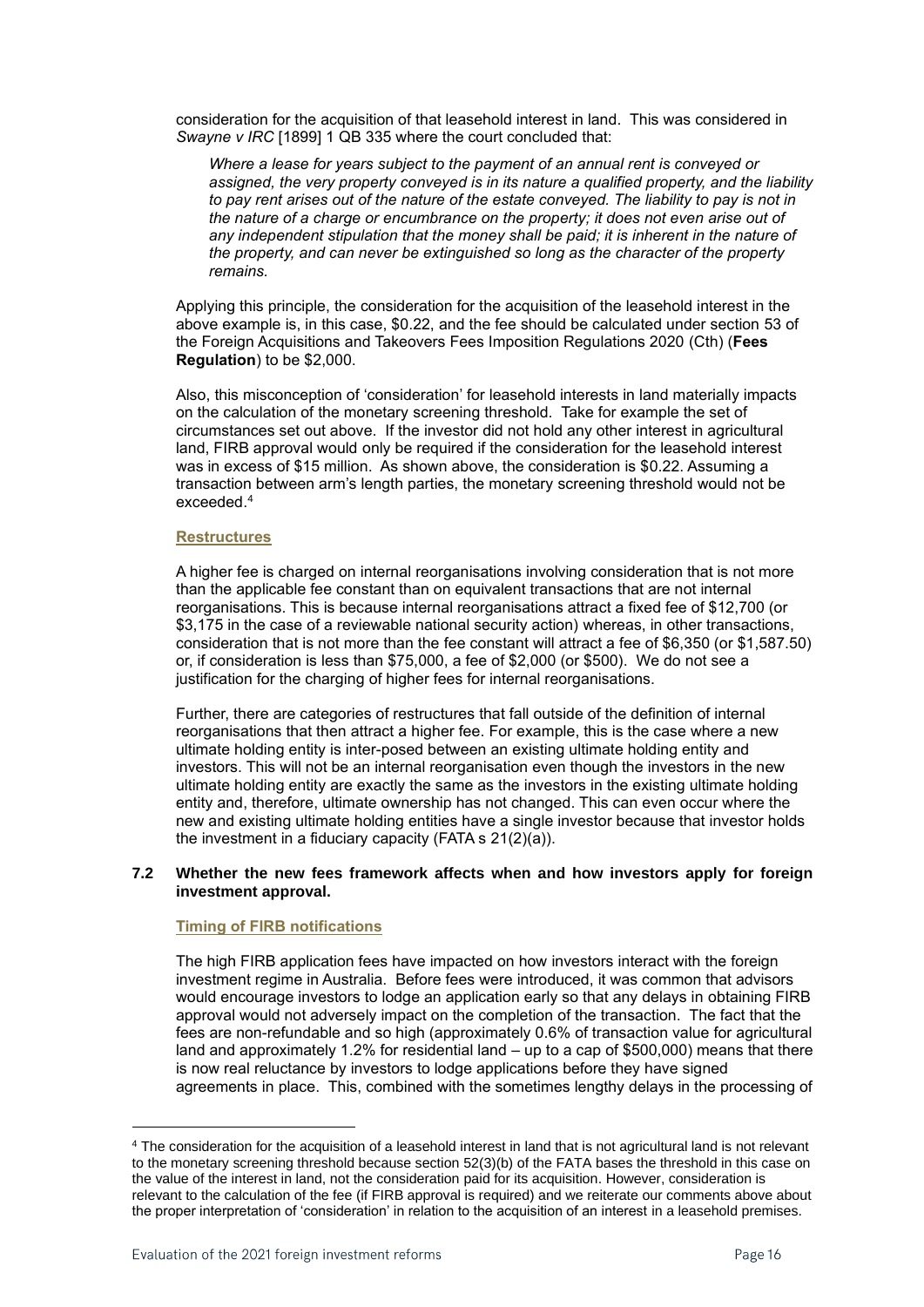consideration for the acquisition of that leasehold interest in land. This was considered in *Swayne v IRC* [1899] 1 QB 335 where the court concluded that:

*Where a lease for years subject to the payment of an annual rent is conveyed or assigned, the very property conveyed is in its nature a qualified property, and the liability to pay rent arises out of the nature of the estate conveyed. The liability to pay is not in the nature of a charge or encumbrance on the property; it does not even arise out of any independent stipulation that the money shall be paid; it is inherent in the nature of the property, and can never be extinguished so long as the character of the property remains.*

Applying this principle, the consideration for the acquisition of the leasehold interest in the above example is, in this case, \$0.22, and the fee should be calculated under section 53 of the Foreign Acquisitions and Takeovers Fees Imposition Regulations 2020 (Cth) (**Fees Regulation**) to be \$2,000.

Also, this misconception of 'consideration' for leasehold interests in land materially impacts on the calculation of the monetary screening threshold. Take for example the set of circumstances set out above. If the investor did not hold any other interest in agricultural land, FIRB approval would only be required if the consideration for the leasehold interest was in excess of \$15 million. As shown above, the consideration is \$0.22. Assuming a transaction between arm's length parties, the monetary screening threshold would not be exceeded. 4

### **Restructures**

A higher fee is charged on internal reorganisations involving consideration that is not more than the applicable fee constant than on equivalent transactions that are not internal reorganisations. This is because internal reorganisations attract a fixed fee of \$12,700 (or \$3,175 in the case of a reviewable national security action) whereas, in other transactions, consideration that is not more than the fee constant will attract a fee of \$6,350 (or \$1,587.50) or, if consideration is less than \$75,000, a fee of \$2,000 (or \$500). We do not see a justification for the charging of higher fees for internal reorganisations.

Further, there are categories of restructures that fall outside of the definition of internal reorganisations that then attract a higher fee. For example, this is the case where a new ultimate holding entity is inter-posed between an existing ultimate holding entity and investors. This will not be an internal reorganisation even though the investors in the new ultimate holding entity are exactly the same as the investors in the existing ultimate holding entity and, therefore, ultimate ownership has not changed. This can even occur where the new and existing ultimate holding entities have a single investor because that investor holds the investment in a fiduciary capacity (FATA s 21(2)(a)).

### **7.2 Whether the new fees framework affects when and how investors apply for foreign investment approval.**

### **Timing of FIRB notifications**

The high FIRB application fees have impacted on how investors interact with the foreign investment regime in Australia. Before fees were introduced, it was common that advisors would encourage investors to lodge an application early so that any delays in obtaining FIRB approval would not adversely impact on the completion of the transaction. The fact that the fees are non-refundable and so high (approximately 0.6% of transaction value for agricultural land and approximately 1.2% for residential land – up to a cap of \$500,000) means that there is now real reluctance by investors to lodge applications before they have signed agreements in place. This, combined with the sometimes lengthy delays in the processing of

<sup>4</sup> The consideration for the acquisition of a leasehold interest in land that is not agricultural land is not relevant to the monetary screening threshold because section 52(3)(b) of the FATA bases the threshold in this case on the value of the interest in land, not the consideration paid for its acquisition. However, consideration is relevant to the calculation of the fee (if FIRB approval is required) and we reiterate our comments above about the proper interpretation of 'consideration' in relation to the acquisition of an interest in a leasehold premises.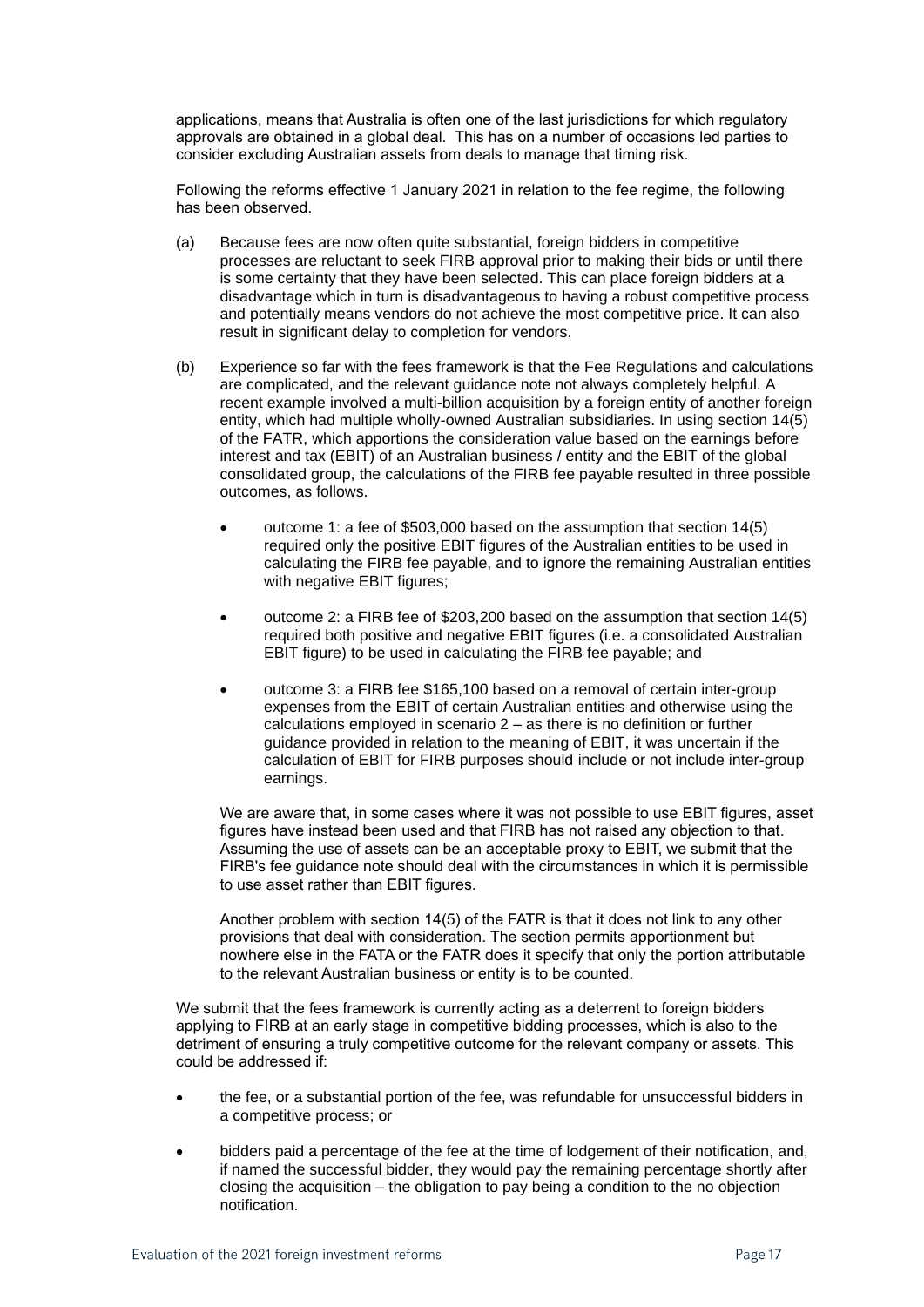applications, means that Australia is often one of the last jurisdictions for which regulatory approvals are obtained in a global deal. This has on a number of occasions led parties to consider excluding Australian assets from deals to manage that timing risk.

Following the reforms effective 1 January 2021 in relation to the fee regime, the following has been observed.

- (a) Because fees are now often quite substantial, foreign bidders in competitive processes are reluctant to seek FIRB approval prior to making their bids or until there is some certainty that they have been selected. This can place foreign bidders at a disadvantage which in turn is disadvantageous to having a robust competitive process and potentially means vendors do not achieve the most competitive price. It can also result in significant delay to completion for vendors.
- (b) Experience so far with the fees framework is that the Fee Regulations and calculations are complicated, and the relevant guidance note not always completely helpful. A recent example involved a multi-billion acquisition by a foreign entity of another foreign entity, which had multiple wholly-owned Australian subsidiaries. In using section 14(5) of the FATR, which apportions the consideration value based on the earnings before interest and tax (EBIT) of an Australian business / entity and the EBIT of the global consolidated group, the calculations of the FIRB fee payable resulted in three possible outcomes, as follows.
	- outcome 1: a fee of \$503,000 based on the assumption that section 14(5) required only the positive EBIT figures of the Australian entities to be used in calculating the FIRB fee payable, and to ignore the remaining Australian entities with negative EBIT figures;
	- outcome 2: a FIRB fee of \$203,200 based on the assumption that section 14(5) required both positive and negative EBIT figures (i.e. a consolidated Australian EBIT figure) to be used in calculating the FIRB fee payable; and
	- outcome 3: a FIRB fee \$165,100 based on a removal of certain inter-group expenses from the EBIT of certain Australian entities and otherwise using the calculations employed in scenario 2 – as there is no definition or further guidance provided in relation to the meaning of EBIT, it was uncertain if the calculation of EBIT for FIRB purposes should include or not include inter-group earnings.

We are aware that, in some cases where it was not possible to use EBIT figures, asset figures have instead been used and that FIRB has not raised any objection to that. Assuming the use of assets can be an acceptable proxy to EBIT, we submit that the FIRB's fee guidance note should deal with the circumstances in which it is permissible to use asset rather than EBIT figures.

Another problem with section 14(5) of the FATR is that it does not link to any other provisions that deal with consideration. The section permits apportionment but nowhere else in the FATA or the FATR does it specify that only the portion attributable to the relevant Australian business or entity is to be counted.

We submit that the fees framework is currently acting as a deterrent to foreign bidders applying to FIRB at an early stage in competitive bidding processes, which is also to the detriment of ensuring a truly competitive outcome for the relevant company or assets. This could be addressed if:

- the fee, or a substantial portion of the fee, was refundable for unsuccessful bidders in a competitive process; or
- bidders paid a percentage of the fee at the time of lodgement of their notification, and, if named the successful bidder, they would pay the remaining percentage shortly after closing the acquisition – the obligation to pay being a condition to the no objection notification.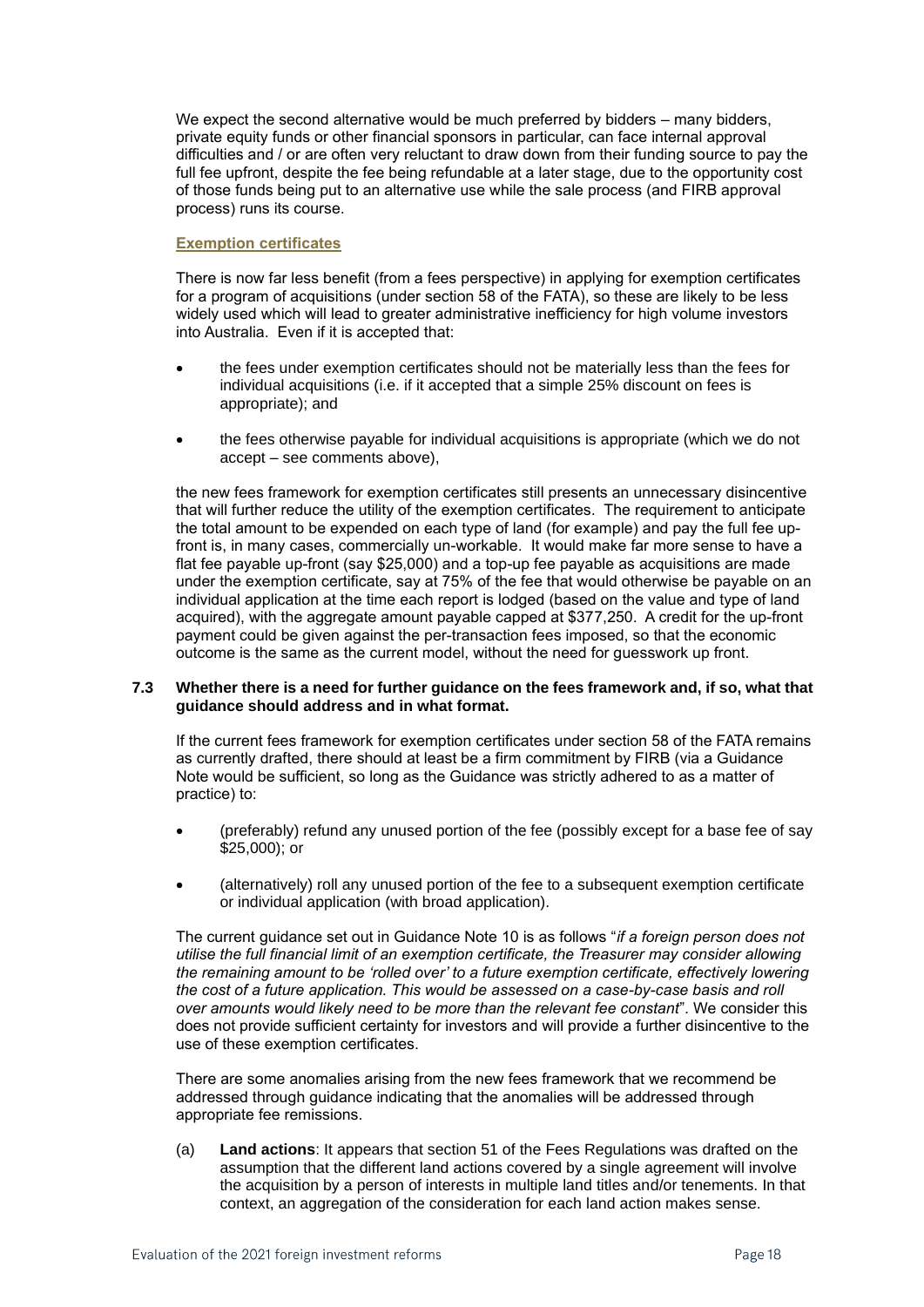We expect the second alternative would be much preferred by bidders – many bidders, private equity funds or other financial sponsors in particular, can face internal approval difficulties and / or are often very reluctant to draw down from their funding source to pay the full fee upfront, despite the fee being refundable at a later stage, due to the opportunity cost of those funds being put to an alternative use while the sale process (and FIRB approval process) runs its course.

### **Exemption certificates**

There is now far less benefit (from a fees perspective) in applying for exemption certificates for a program of acquisitions (under section 58 of the FATA), so these are likely to be less widely used which will lead to greater administrative inefficiency for high volume investors into Australia. Even if it is accepted that:

- the fees under exemption certificates should not be materially less than the fees for individual acquisitions (i.e. if it accepted that a simple 25% discount on fees is appropriate); and
- the fees otherwise payable for individual acquisitions is appropriate (which we do not accept – see comments above),

the new fees framework for exemption certificates still presents an unnecessary disincentive that will further reduce the utility of the exemption certificates. The requirement to anticipate the total amount to be expended on each type of land (for example) and pay the full fee upfront is, in many cases, commercially un-workable. It would make far more sense to have a flat fee payable up-front (say \$25,000) and a top-up fee payable as acquisitions are made under the exemption certificate, say at 75% of the fee that would otherwise be payable on an individual application at the time each report is lodged (based on the value and type of land acquired), with the aggregate amount payable capped at \$377,250. A credit for the up-front payment could be given against the per-transaction fees imposed, so that the economic outcome is the same as the current model, without the need for guesswork up front.

### **7.3 Whether there is a need for further guidance on the fees framework and, if so, what that guidance should address and in what format.**

If the current fees framework for exemption certificates under section 58 of the FATA remains as currently drafted, there should at least be a firm commitment by FIRB (via a Guidance Note would be sufficient, so long as the Guidance was strictly adhered to as a matter of practice) to:

- (preferably) refund any unused portion of the fee (possibly except for a base fee of say \$25,000); or
- (alternatively) roll any unused portion of the fee to a subsequent exemption certificate or individual application (with broad application).

The current guidance set out in Guidance Note 10 is as follows "*if a foreign person does not utilise the full financial limit of an exemption certificate, the Treasurer may consider allowing the remaining amount to be 'rolled over' to a future exemption certificate, effectively lowering the cost of a future application. This would be assessed on a case-by-case basis and roll over amounts would likely need to be more than the relevant fee constant*". We consider this does not provide sufficient certainty for investors and will provide a further disincentive to the use of these exemption certificates.

There are some anomalies arising from the new fees framework that we recommend be addressed through guidance indicating that the anomalies will be addressed through appropriate fee remissions.

(a) **Land actions**: It appears that section 51 of the Fees Regulations was drafted on the assumption that the different land actions covered by a single agreement will involve the acquisition by a person of interests in multiple land titles and/or tenements. In that context, an aggregation of the consideration for each land action makes sense.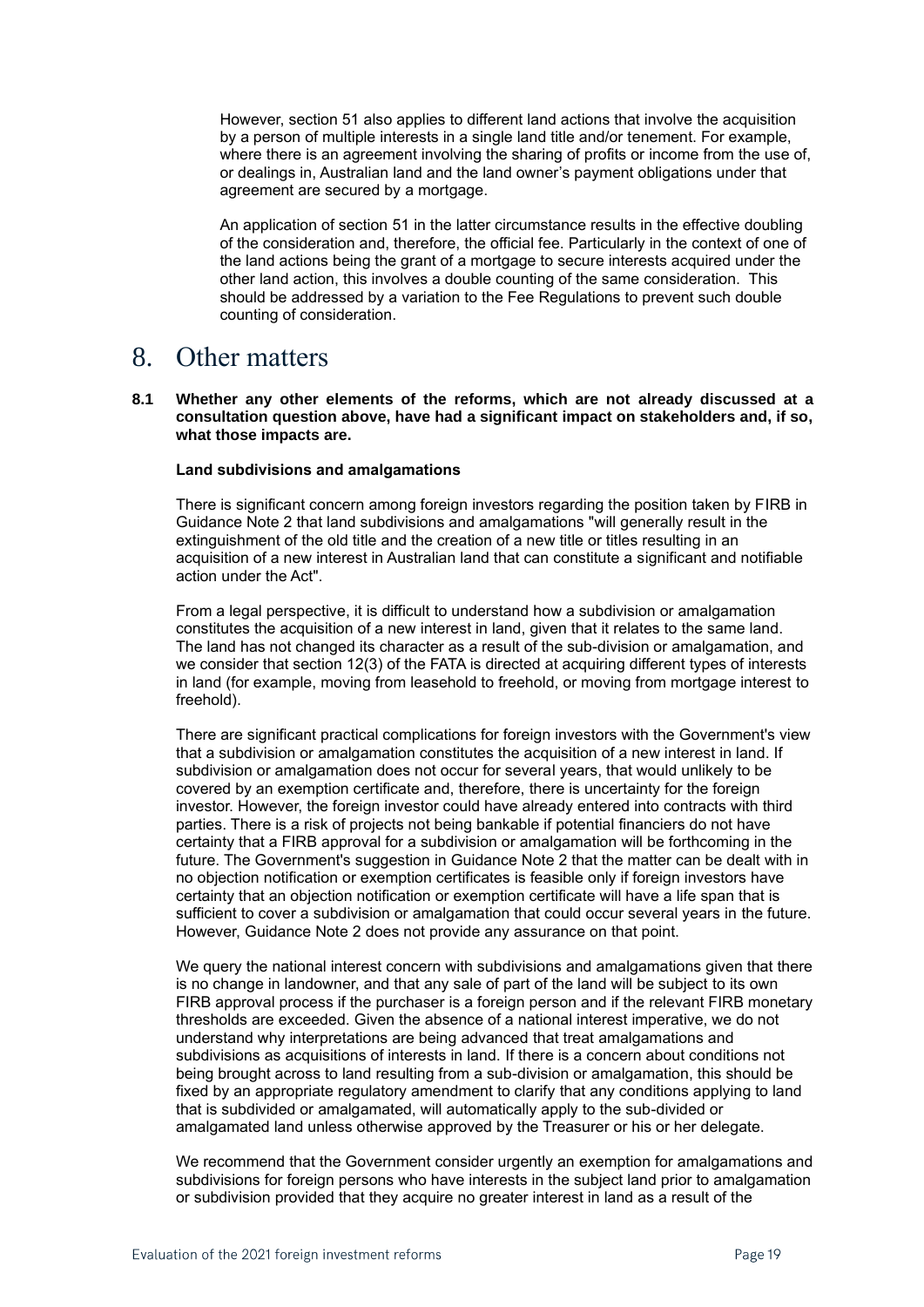However, section 51 also applies to different land actions that involve the acquisition by a person of multiple interests in a single land title and/or tenement. For example, where there is an agreement involving the sharing of profits or income from the use of, or dealings in, Australian land and the land owner's payment obligations under that agreement are secured by a mortgage.

An application of section 51 in the latter circumstance results in the effective doubling of the consideration and, therefore, the official fee. Particularly in the context of one of the land actions being the grant of a mortgage to secure interests acquired under the other land action, this involves a double counting of the same consideration. This should be addressed by a variation to the Fee Regulations to prevent such double counting of consideration.

### 8. Other matters

**8.1 Whether any other elements of the reforms, which are not already discussed at a consultation question above, have had a significant impact on stakeholders and, if so, what those impacts are.**

### **Land subdivisions and amalgamations**

There is significant concern among foreign investors regarding the position taken by FIRB in Guidance Note 2 that land subdivisions and amalgamations "will generally result in the extinguishment of the old title and the creation of a new title or titles resulting in an acquisition of a new interest in Australian land that can constitute a significant and notifiable action under the Act".

From a legal perspective, it is difficult to understand how a subdivision or amalgamation constitutes the acquisition of a new interest in land, given that it relates to the same land. The land has not changed its character as a result of the sub-division or amalgamation, and we consider that section 12(3) of the FATA is directed at acquiring different types of interests in land (for example, moving from leasehold to freehold, or moving from mortgage interest to freehold).

There are significant practical complications for foreign investors with the Government's view that a subdivision or amalgamation constitutes the acquisition of a new interest in land. If subdivision or amalgamation does not occur for several years, that would unlikely to be covered by an exemption certificate and, therefore, there is uncertainty for the foreign investor. However, the foreign investor could have already entered into contracts with third parties. There is a risk of projects not being bankable if potential financiers do not have certainty that a FIRB approval for a subdivision or amalgamation will be forthcoming in the future. The Government's suggestion in Guidance Note 2 that the matter can be dealt with in no objection notification or exemption certificates is feasible only if foreign investors have certainty that an objection notification or exemption certificate will have a life span that is sufficient to cover a subdivision or amalgamation that could occur several years in the future. However, Guidance Note 2 does not provide any assurance on that point.

We query the national interest concern with subdivisions and amalgamations given that there is no change in landowner, and that any sale of part of the land will be subject to its own FIRB approval process if the purchaser is a foreign person and if the relevant FIRB monetary thresholds are exceeded. Given the absence of a national interest imperative, we do not understand why interpretations are being advanced that treat amalgamations and subdivisions as acquisitions of interests in land. If there is a concern about conditions not being brought across to land resulting from a sub-division or amalgamation, this should be fixed by an appropriate regulatory amendment to clarify that any conditions applying to land that is subdivided or amalgamated, will automatically apply to the sub-divided or amalgamated land unless otherwise approved by the Treasurer or his or her delegate.

We recommend that the Government consider urgently an exemption for amalgamations and subdivisions for foreign persons who have interests in the subject land prior to amalgamation or subdivision provided that they acquire no greater interest in land as a result of the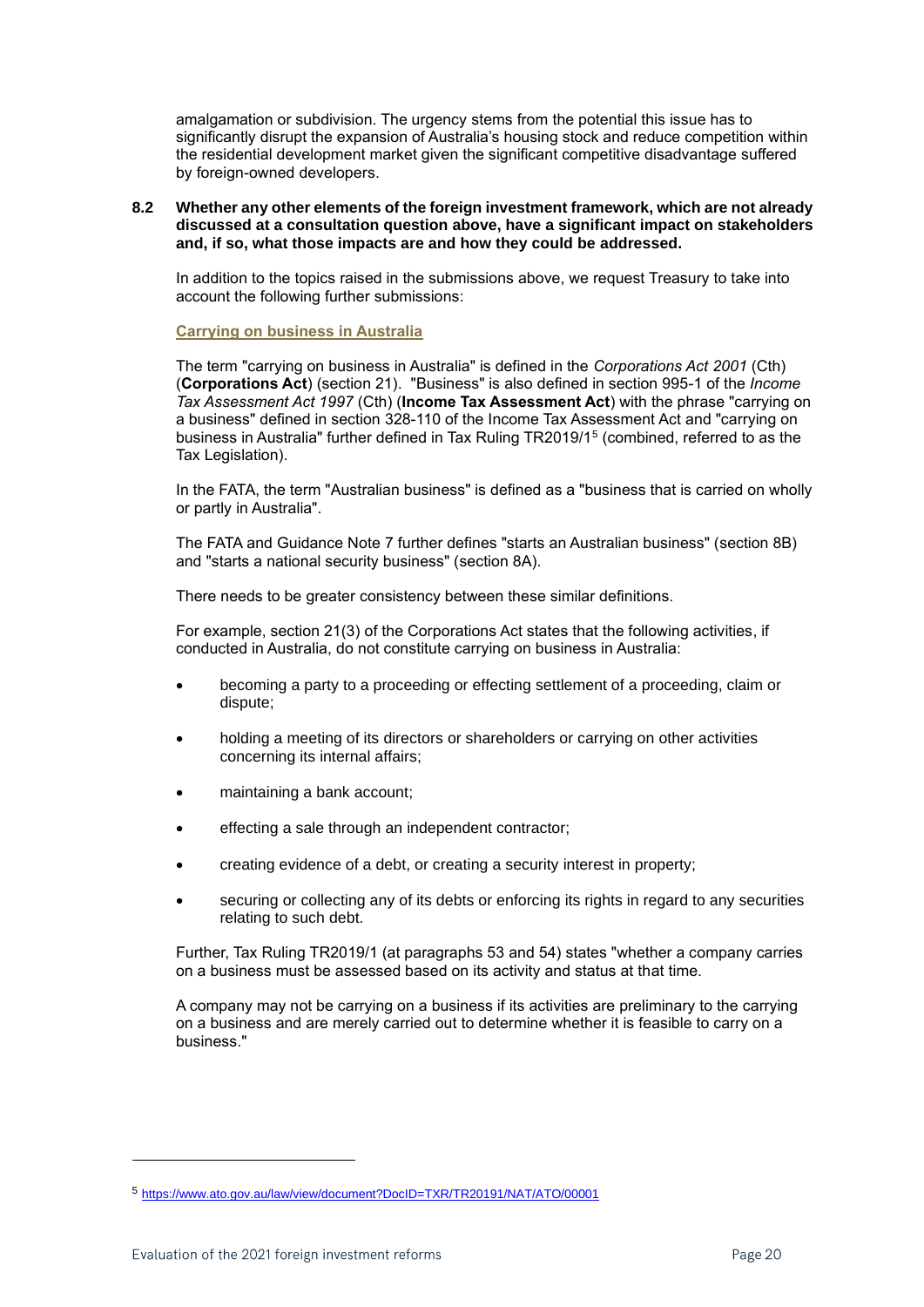amalgamation or subdivision. The urgency stems from the potential this issue has to significantly disrupt the expansion of Australia's housing stock and reduce competition within the residential development market given the significant competitive disadvantage suffered by foreign-owned developers.

**8.2 Whether any other elements of the foreign investment framework, which are not already discussed at a consultation question above, have a significant impact on stakeholders and, if so, what those impacts are and how they could be addressed.**

In addition to the topics raised in the submissions above, we request Treasury to take into account the following further submissions:

### **Carrying on business in Australia**

The term "carrying on business in Australia" is defined in the *Corporations Act 2001* (Cth) (**Corporations Act**) (section 21). "Business" is also defined in section 995-1 of the *Income Tax Assessment Act 1997* (Cth) (**Income Tax Assessment Act**) with the phrase "carrying on a business" defined in section 328-110 of the Income Tax Assessment Act and "carrying on business in Australia" further defined in Tax Ruling TR2019/1<sup>5</sup> (combined, referred to as the Tax Legislation).

In the FATA, the term "Australian business" is defined as a "business that is carried on wholly or partly in Australia".

The FATA and Guidance Note 7 further defines "starts an Australian business" (section 8B) and "starts a national security business" (section 8A).

There needs to be greater consistency between these similar definitions.

For example, section 21(3) of the Corporations Act states that the following activities, if conducted in Australia, do not constitute carrying on business in Australia:

- becoming a party to a proceeding or effecting settlement of a proceeding, claim or dispute;
- holding a meeting of its directors or shareholders or carrying on other activities concerning its internal affairs;
- maintaining a bank account:
- effecting a sale through an independent contractor;
- creating evidence of a debt, or creating a security interest in property;
- securing or collecting any of its debts or enforcing its rights in regard to any securities relating to such debt.

Further, Tax Ruling TR2019/1 (at paragraphs 53 and 54) states "whether a company carries on a business must be assessed based on its activity and status at that time.

A company may not be carrying on a business if its activities are preliminary to the carrying on a business and are merely carried out to determine whether it is feasible to carry on a business."

<sup>5</sup> <https://www.ato.gov.au/law/view/document?DocID=TXR/TR20191/NAT/ATO/00001>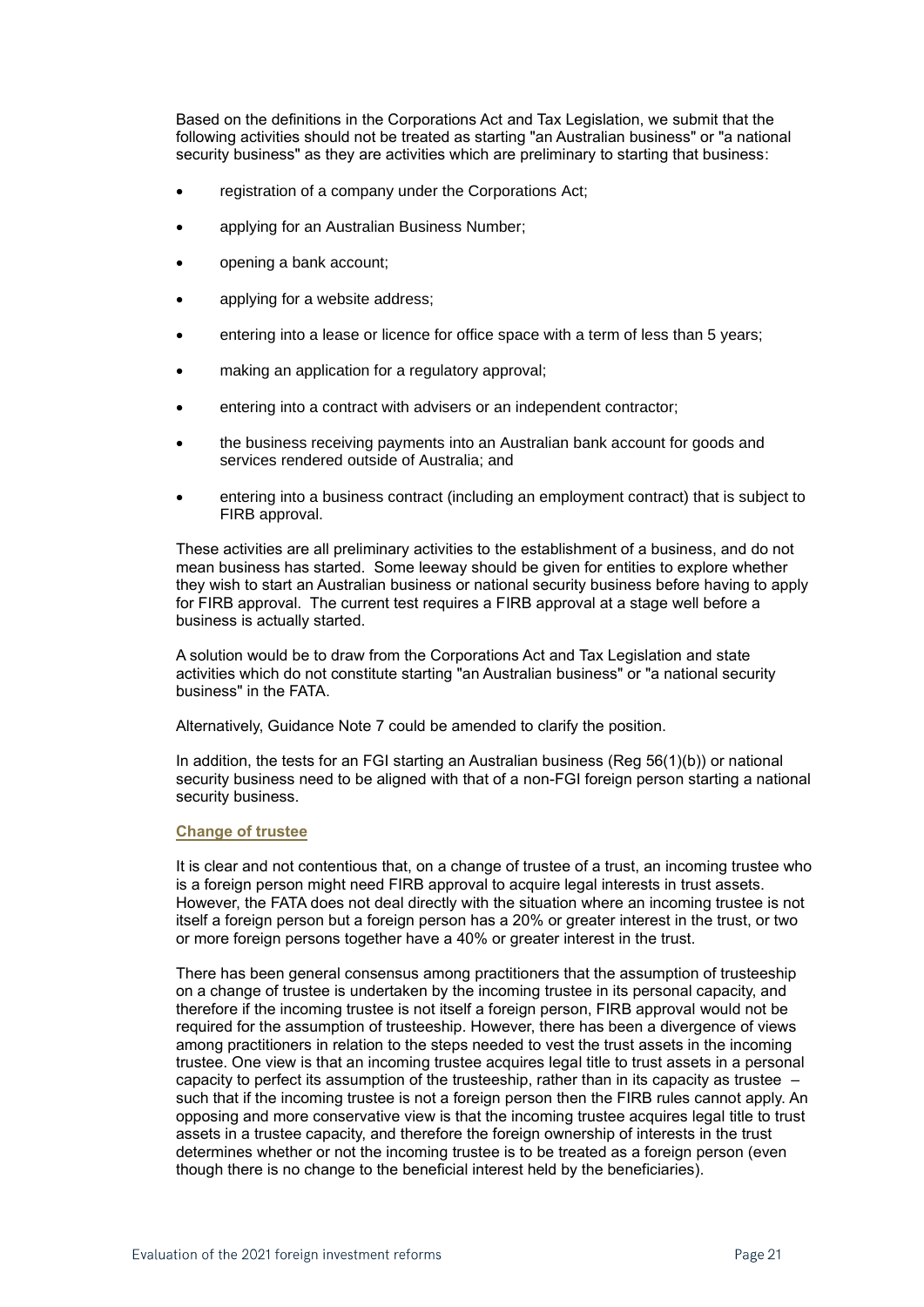Based on the definitions in the Corporations Act and Tax Legislation, we submit that the following activities should not be treated as starting "an Australian business" or "a national security business" as they are activities which are preliminary to starting that business:

- registration of a company under the Corporations Act;
- applying for an Australian Business Number;
- opening a bank account;
- applying for a website address;
- entering into a lease or licence for office space with a term of less than 5 years;
- making an application for a regulatory approval:
- entering into a contract with advisers or an independent contractor:
- the business receiving payments into an Australian bank account for goods and services rendered outside of Australia; and
- entering into a business contract (including an employment contract) that is subject to FIRB approval.

These activities are all preliminary activities to the establishment of a business, and do not mean business has started. Some leeway should be given for entities to explore whether they wish to start an Australian business or national security business before having to apply for FIRB approval. The current test requires a FIRB approval at a stage well before a business is actually started.

A solution would be to draw from the Corporations Act and Tax Legislation and state activities which do not constitute starting "an Australian business" or "a national security business" in the FATA.

Alternatively, Guidance Note 7 could be amended to clarify the position.

In addition, the tests for an FGI starting an Australian business (Reg 56(1)(b)) or national security business need to be aligned with that of a non-FGI foreign person starting a national security business.

### **Change of trustee**

It is clear and not contentious that, on a change of trustee of a trust, an incoming trustee who is a foreign person might need FIRB approval to acquire legal interests in trust assets. However, the FATA does not deal directly with the situation where an incoming trustee is not itself a foreign person but a foreign person has a 20% or greater interest in the trust, or two or more foreign persons together have a 40% or greater interest in the trust.

There has been general consensus among practitioners that the assumption of trusteeship on a change of trustee is undertaken by the incoming trustee in its personal capacity, and therefore if the incoming trustee is not itself a foreign person, FIRB approval would not be required for the assumption of trusteeship. However, there has been a divergence of views among practitioners in relation to the steps needed to vest the trust assets in the incoming trustee. One view is that an incoming trustee acquires legal title to trust assets in a personal capacity to perfect its assumption of the trusteeship, rather than in its capacity as trustee – such that if the incoming trustee is not a foreign person then the FIRB rules cannot apply. An opposing and more conservative view is that the incoming trustee acquires legal title to trust assets in a trustee capacity, and therefore the foreign ownership of interests in the trust determines whether or not the incoming trustee is to be treated as a foreign person (even though there is no change to the beneficial interest held by the beneficiaries).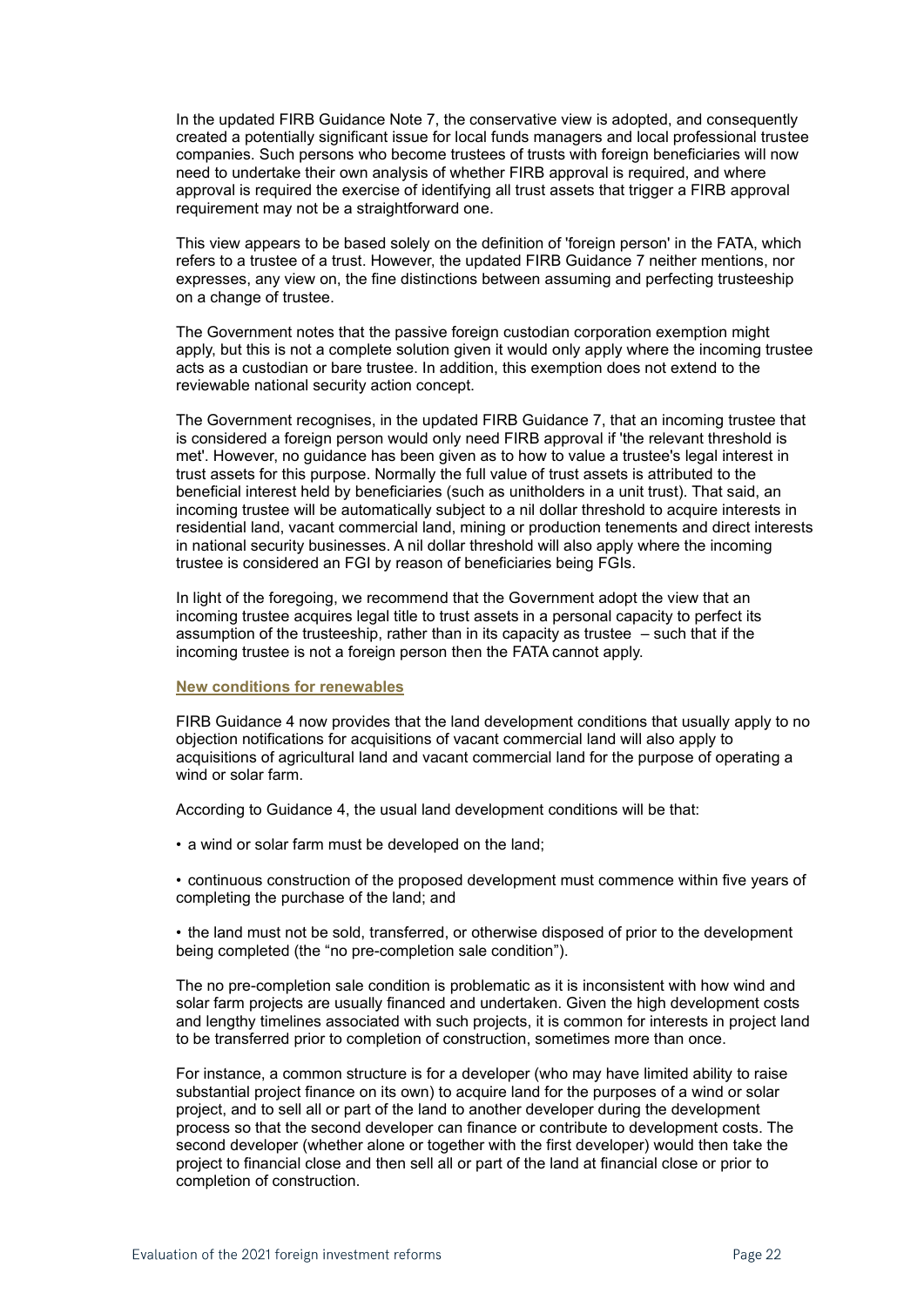In the updated FIRB Guidance Note 7, the conservative view is adopted, and consequently created a potentially significant issue for local funds managers and local professional trustee companies. Such persons who become trustees of trusts with foreign beneficiaries will now need to undertake their own analysis of whether FIRB approval is required, and where approval is required the exercise of identifying all trust assets that trigger a FIRB approval requirement may not be a straightforward one.

This view appears to be based solely on the definition of 'foreign person' in the FATA, which refers to a trustee of a trust. However, the updated FIRB Guidance 7 neither mentions, nor expresses, any view on, the fine distinctions between assuming and perfecting trusteeship on a change of trustee.

The Government notes that the passive foreign custodian corporation exemption might apply, but this is not a complete solution given it would only apply where the incoming trustee acts as a custodian or bare trustee. In addition, this exemption does not extend to the reviewable national security action concept.

The Government recognises, in the updated FIRB Guidance 7, that an incoming trustee that is considered a foreign person would only need FIRB approval if 'the relevant threshold is met'. However, no guidance has been given as to how to value a trustee's legal interest in trust assets for this purpose. Normally the full value of trust assets is attributed to the beneficial interest held by beneficiaries (such as unitholders in a unit trust). That said, an incoming trustee will be automatically subject to a nil dollar threshold to acquire interests in residential land, vacant commercial land, mining or production tenements and direct interests in national security businesses. A nil dollar threshold will also apply where the incoming trustee is considered an FGI by reason of beneficiaries being FGIs.

In light of the foregoing, we recommend that the Government adopt the view that an incoming trustee acquires legal title to trust assets in a personal capacity to perfect its assumption of the trusteeship, rather than in its capacity as trustee – such that if the incoming trustee is not a foreign person then the FATA cannot apply.

### **New conditions for renewables**

FIRB Guidance 4 now provides that the land development conditions that usually apply to no objection notifications for acquisitions of vacant commercial land will also apply to acquisitions of agricultural land and vacant commercial land for the purpose of operating a wind or solar farm.

According to Guidance 4, the usual land development conditions will be that:

• a wind or solar farm must be developed on the land;

• continuous construction of the proposed development must commence within five years of completing the purchase of the land; and

• the land must not be sold, transferred, or otherwise disposed of prior to the development being completed (the "no pre-completion sale condition").

The no pre-completion sale condition is problematic as it is inconsistent with how wind and solar farm projects are usually financed and undertaken. Given the high development costs and lengthy timelines associated with such projects, it is common for interests in project land to be transferred prior to completion of construction, sometimes more than once.

For instance, a common structure is for a developer (who may have limited ability to raise substantial project finance on its own) to acquire land for the purposes of a wind or solar project, and to sell all or part of the land to another developer during the development process so that the second developer can finance or contribute to development costs. The second developer (whether alone or together with the first developer) would then take the project to financial close and then sell all or part of the land at financial close or prior to completion of construction.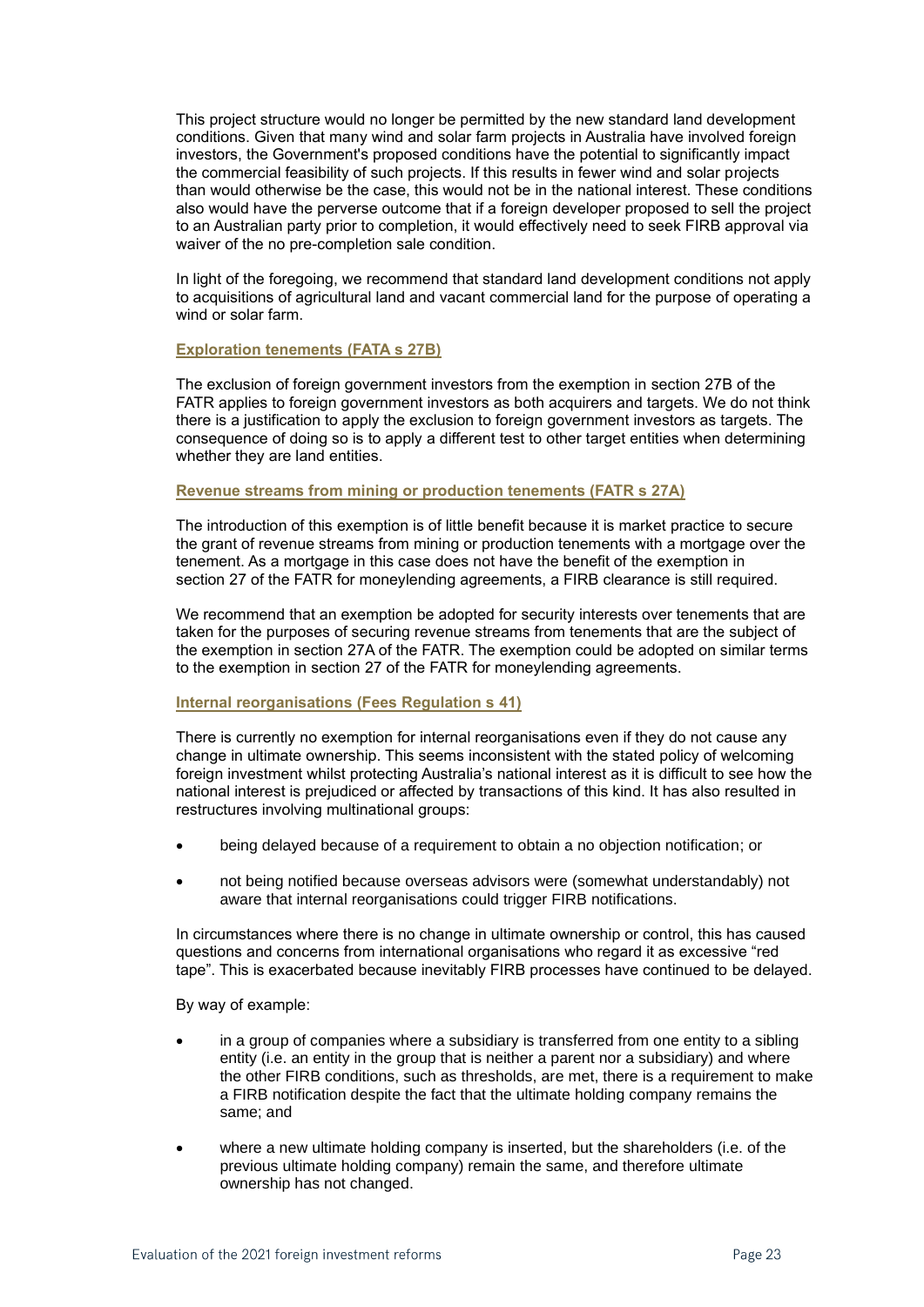This project structure would no longer be permitted by the new standard land development conditions. Given that many wind and solar farm projects in Australia have involved foreign investors, the Government's proposed conditions have the potential to significantly impact the commercial feasibility of such projects. If this results in fewer wind and solar projects than would otherwise be the case, this would not be in the national interest. These conditions also would have the perverse outcome that if a foreign developer proposed to sell the project to an Australian party prior to completion, it would effectively need to seek FIRB approval via waiver of the no pre-completion sale condition.

In light of the foregoing, we recommend that standard land development conditions not apply to acquisitions of agricultural land and vacant commercial land for the purpose of operating a wind or solar farm.

### **Exploration tenements (FATA s 27B)**

The exclusion of foreign government investors from the exemption in section 27B of the FATR applies to foreign government investors as both acquirers and targets. We do not think there is a justification to apply the exclusion to foreign government investors as targets. The consequence of doing so is to apply a different test to other target entities when determining whether they are land entities.

#### **Revenue streams from mining or production tenements (FATR s 27A)**

The introduction of this exemption is of little benefit because it is market practice to secure the grant of revenue streams from mining or production tenements with a mortgage over the tenement. As a mortgage in this case does not have the benefit of the exemption in section 27 of the FATR for moneylending agreements, a FIRB clearance is still required.

We recommend that an exemption be adopted for security interests over tenements that are taken for the purposes of securing revenue streams from tenements that are the subject of the exemption in section 27A of the FATR. The exemption could be adopted on similar terms to the exemption in section 27 of the FATR for moneylending agreements.

### **Internal reorganisations (Fees Regulation s 41)**

There is currently no exemption for internal reorganisations even if they do not cause any change in ultimate ownership. This seems inconsistent with the stated policy of welcoming foreign investment whilst protecting Australia's national interest as it is difficult to see how the national interest is prejudiced or affected by transactions of this kind. It has also resulted in restructures involving multinational groups:

- being delayed because of a requirement to obtain a no objection notification; or
- not being notified because overseas advisors were (somewhat understandably) not aware that internal reorganisations could trigger FIRB notifications.

In circumstances where there is no change in ultimate ownership or control, this has caused questions and concerns from international organisations who regard it as excessive "red tape". This is exacerbated because inevitably FIRB processes have continued to be delayed.

By way of example:

- in a group of companies where a subsidiary is transferred from one entity to a sibling entity (i.e. an entity in the group that is neither a parent nor a subsidiary) and where the other FIRB conditions, such as thresholds, are met, there is a requirement to make a FIRB notification despite the fact that the ultimate holding company remains the same; and
- where a new ultimate holding company is inserted, but the shareholders (i.e. of the previous ultimate holding company) remain the same, and therefore ultimate ownership has not changed.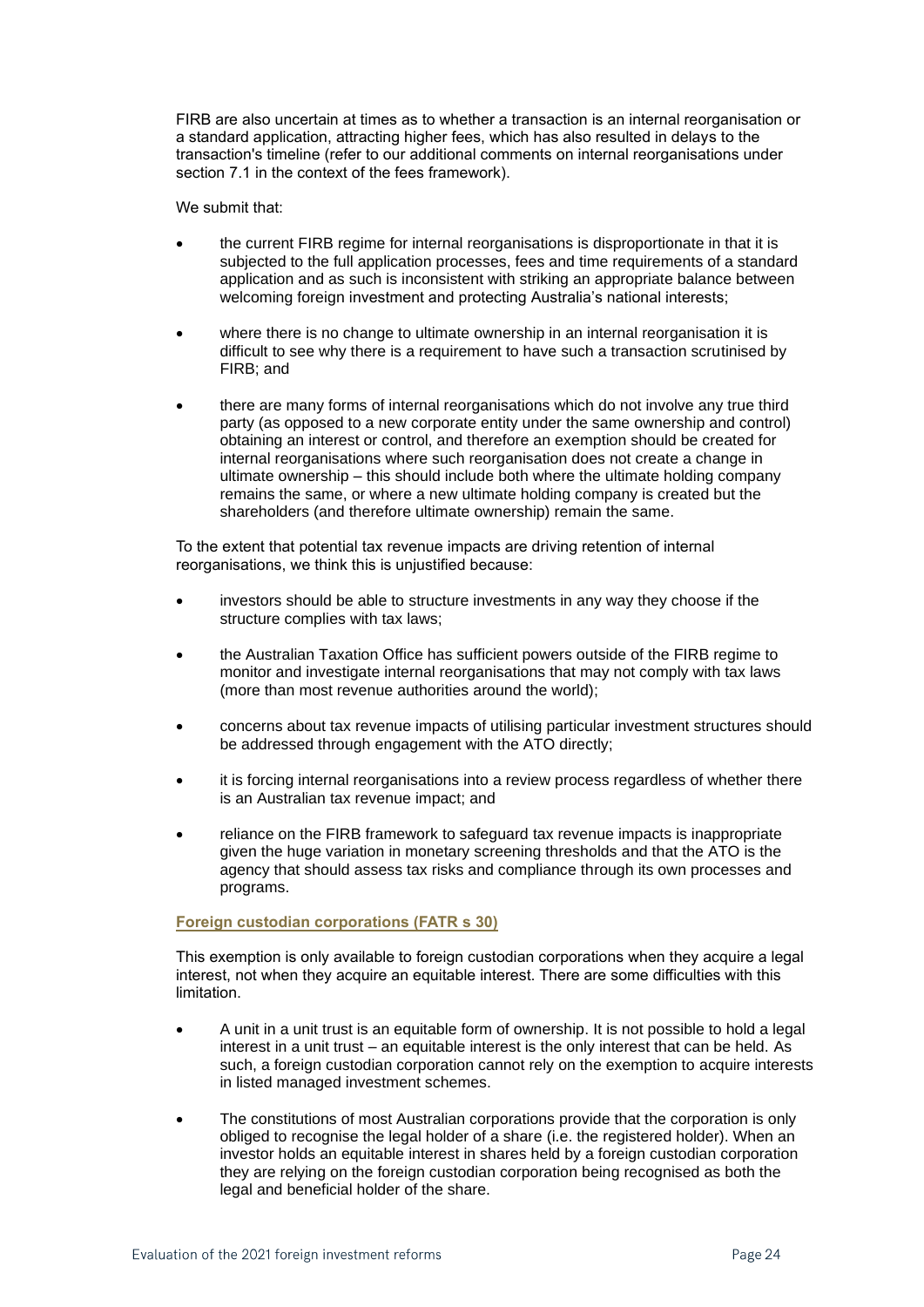FIRB are also uncertain at times as to whether a transaction is an internal reorganisation or a standard application, attracting higher fees, which has also resulted in delays to the transaction's timeline (refer to our additional comments on internal reorganisations under section [7.1](#page-13-0) in the context of the fees framework).

We submit that:

- the current FIRB regime for internal reorganisations is disproportionate in that it is subjected to the full application processes, fees and time requirements of a standard application and as such is inconsistent with striking an appropriate balance between welcoming foreign investment and protecting Australia's national interests;
- where there is no change to ultimate ownership in an internal reorganisation it is difficult to see why there is a requirement to have such a transaction scrutinised by FIRB; and
- there are many forms of internal reorganisations which do not involve any true third party (as opposed to a new corporate entity under the same ownership and control) obtaining an interest or control, and therefore an exemption should be created for internal reorganisations where such reorganisation does not create a change in ultimate ownership – this should include both where the ultimate holding company remains the same, or where a new ultimate holding company is created but the shareholders (and therefore ultimate ownership) remain the same.

To the extent that potential tax revenue impacts are driving retention of internal reorganisations, we think this is unjustified because:

- investors should be able to structure investments in any way they choose if the structure complies with tax laws;
- the Australian Taxation Office has sufficient powers outside of the FIRB regime to monitor and investigate internal reorganisations that may not comply with tax laws (more than most revenue authorities around the world);
- concerns about tax revenue impacts of utilising particular investment structures should be addressed through engagement with the ATO directly;
- it is forcing internal reorganisations into a review process regardless of whether there is an Australian tax revenue impact; and
- reliance on the FIRB framework to safeguard tax revenue impacts is inappropriate given the huge variation in monetary screening thresholds and that the ATO is the agency that should assess tax risks and compliance through its own processes and programs.

### **Foreign custodian corporations (FATR s 30)**

This exemption is only available to foreign custodian corporations when they acquire a legal interest, not when they acquire an equitable interest. There are some difficulties with this limitation.

- A unit in a unit trust is an equitable form of ownership. It is not possible to hold a legal interest in a unit trust – an equitable interest is the only interest that can be held. As such, a foreign custodian corporation cannot rely on the exemption to acquire interests in listed managed investment schemes.
- The constitutions of most Australian corporations provide that the corporation is only obliged to recognise the legal holder of a share (i.e. the registered holder). When an investor holds an equitable interest in shares held by a foreign custodian corporation they are relying on the foreign custodian corporation being recognised as both the legal and beneficial holder of the share.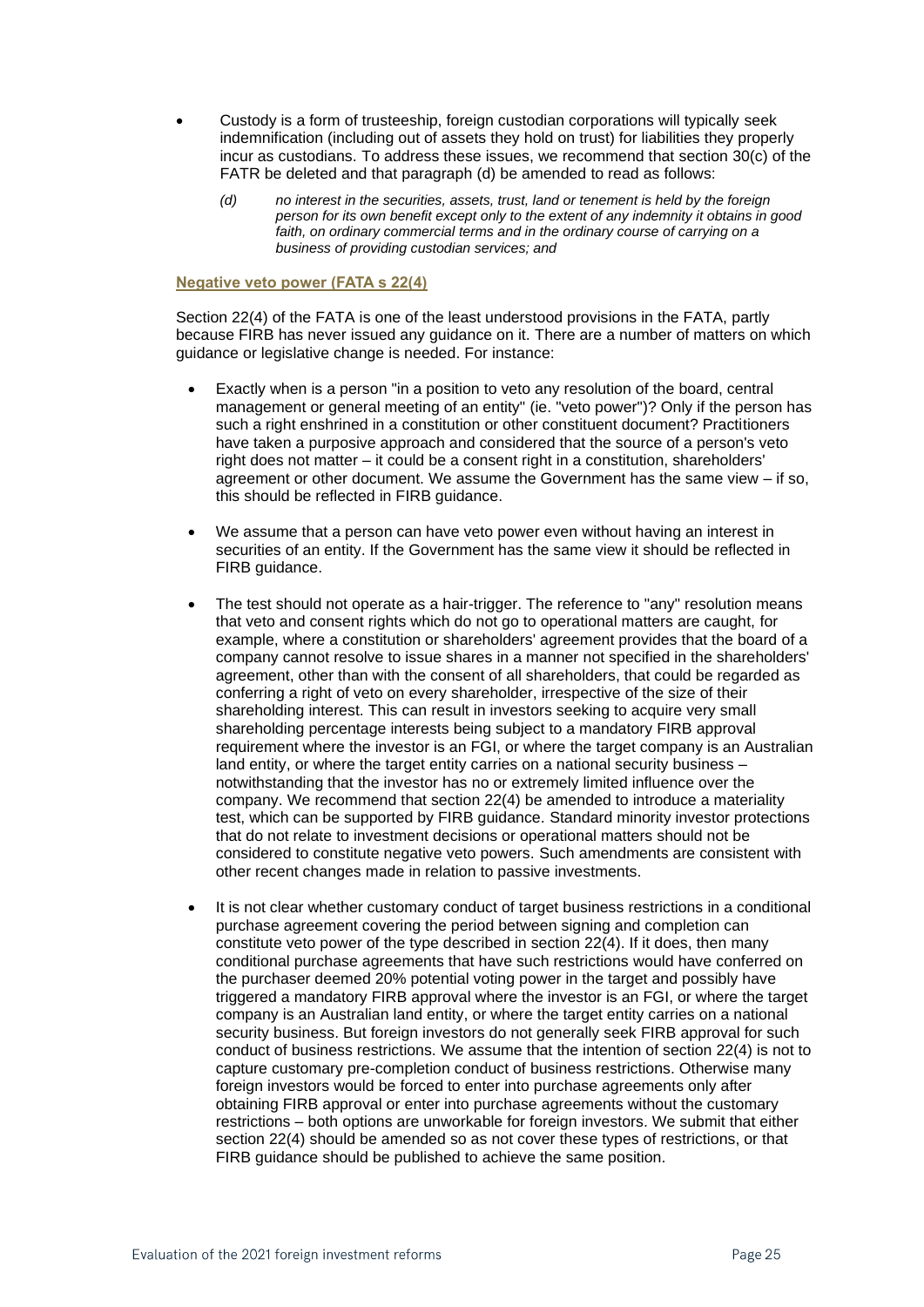- Custody is a form of trusteeship, foreign custodian corporations will typically seek indemnification (including out of assets they hold on trust) for liabilities they properly incur as custodians. To address these issues, we recommend that section 30(c) of the FATR be deleted and that paragraph (d) be amended to read as follows:
	- *(d) no interest in the securities, assets, trust, land or tenement is held by the foreign person for its own benefit except only to the extent of any indemnity it obtains in good faith, on ordinary commercial terms and in the ordinary course of carrying on a business of providing custodian services; and*

### **Negative veto power (FATA s 22(4)**

Section 22(4) of the FATA is one of the least understood provisions in the FATA, partly because FIRB has never issued any guidance on it. There are a number of matters on which guidance or legislative change is needed. For instance:

- Exactly when is a person "in a position to veto any resolution of the board, central management or general meeting of an entity" (ie. "veto power")? Only if the person has such a right enshrined in a constitution or other constituent document? Practitioners have taken a purposive approach and considered that the source of a person's veto right does not matter – it could be a consent right in a constitution, shareholders' agreement or other document. We assume the Government has the same view – if so, this should be reflected in FIRB guidance.
- We assume that a person can have veto power even without having an interest in securities of an entity. If the Government has the same view it should be reflected in FIRB guidance.
- The test should not operate as a hair-trigger. The reference to "any" resolution means that veto and consent rights which do not go to operational matters are caught, for example, where a constitution or shareholders' agreement provides that the board of a company cannot resolve to issue shares in a manner not specified in the shareholders' agreement, other than with the consent of all shareholders, that could be regarded as conferring a right of veto on every shareholder, irrespective of the size of their shareholding interest. This can result in investors seeking to acquire very small shareholding percentage interests being subject to a mandatory FIRB approval requirement where the investor is an FGI, or where the target company is an Australian land entity, or where the target entity carries on a national security business – notwithstanding that the investor has no or extremely limited influence over the company. We recommend that section 22(4) be amended to introduce a materiality test, which can be supported by FIRB guidance. Standard minority investor protections that do not relate to investment decisions or operational matters should not be considered to constitute negative veto powers. Such amendments are consistent with other recent changes made in relation to passive investments.
- It is not clear whether customary conduct of target business restrictions in a conditional purchase agreement covering the period between signing and completion can constitute veto power of the type described in section 22(4). If it does, then many conditional purchase agreements that have such restrictions would have conferred on the purchaser deemed 20% potential voting power in the target and possibly have triggered a mandatory FIRB approval where the investor is an FGI, or where the target company is an Australian land entity, or where the target entity carries on a national security business. But foreign investors do not generally seek FIRB approval for such conduct of business restrictions. We assume that the intention of section 22(4) is not to capture customary pre-completion conduct of business restrictions. Otherwise many foreign investors would be forced to enter into purchase agreements only after obtaining FIRB approval or enter into purchase agreements without the customary restrictions – both options are unworkable for foreign investors. We submit that either section 22(4) should be amended so as not cover these types of restrictions, or that FIRB guidance should be published to achieve the same position.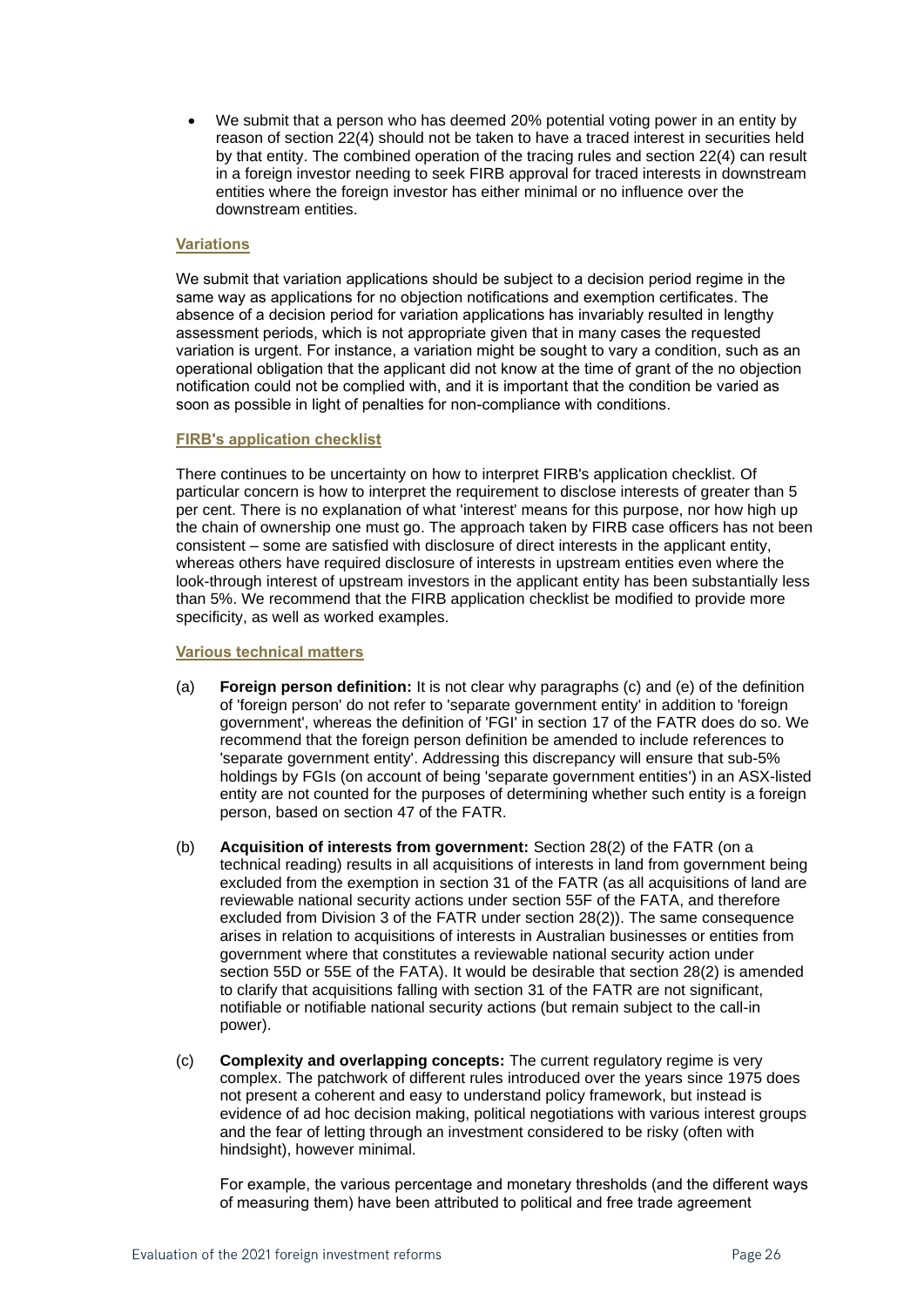• We submit that a person who has deemed 20% potential voting power in an entity by reason of section 22(4) should not be taken to have a traced interest in securities held by that entity. The combined operation of the tracing rules and section 22(4) can result in a foreign investor needing to seek FIRB approval for traced interests in downstream entities where the foreign investor has either minimal or no influence over the downstream entities.

### **Variations**

We submit that variation applications should be subject to a decision period regime in the same way as applications for no objection notifications and exemption certificates. The absence of a decision period for variation applications has invariably resulted in lengthy assessment periods, which is not appropriate given that in many cases the requested variation is urgent. For instance, a variation might be sought to vary a condition, such as an operational obligation that the applicant did not know at the time of grant of the no objection notification could not be complied with, and it is important that the condition be varied as soon as possible in light of penalties for non-compliance with conditions.

### **FIRB's application checklist**

There continues to be uncertainty on how to interpret FIRB's application checklist. Of particular concern is how to interpret the requirement to disclose interests of greater than 5 per cent. There is no explanation of what 'interest' means for this purpose, nor how high up the chain of ownership one must go. The approach taken by FIRB case officers has not been consistent – some are satisfied with disclosure of direct interests in the applicant entity, whereas others have required disclosure of interests in upstream entities even where the look-through interest of upstream investors in the applicant entity has been substantially less than 5%. We recommend that the FIRB application checklist be modified to provide more specificity, as well as worked examples.

### **Various technical matters**

- (a) **Foreign person definition:** It is not clear why paragraphs (c) and (e) of the definition of 'foreign person' do not refer to 'separate government entity' in addition to 'foreign government', whereas the definition of 'FGI' in section 17 of the FATR does do so. We recommend that the foreign person definition be amended to include references to 'separate government entity'. Addressing this discrepancy will ensure that sub-5% holdings by FGIs (on account of being 'separate government entities') in an ASX-listed entity are not counted for the purposes of determining whether such entity is a foreign person, based on section 47 of the FATR.
- (b) **Acquisition of interests from government:** Section 28(2) of the FATR (on a technical reading) results in all acquisitions of interests in land from government being excluded from the exemption in section 31 of the FATR (as all acquisitions of land are reviewable national security actions under section 55F of the FATA, and therefore excluded from Division 3 of the FATR under section 28(2)). The same consequence arises in relation to acquisitions of interests in Australian businesses or entities from government where that constitutes a reviewable national security action under section 55D or 55E of the FATA). It would be desirable that section 28(2) is amended to clarify that acquisitions falling with section 31 of the FATR are not significant, notifiable or notifiable national security actions (but remain subject to the call-in power).
- (c) **Complexity and overlapping concepts:** The current regulatory regime is very complex. The patchwork of different rules introduced over the years since 1975 does not present a coherent and easy to understand policy framework, but instead is evidence of ad hoc decision making, political negotiations with various interest groups and the fear of letting through an investment considered to be risky (often with hindsight), however minimal.

For example, the various percentage and monetary thresholds (and the different ways of measuring them) have been attributed to political and free trade agreement